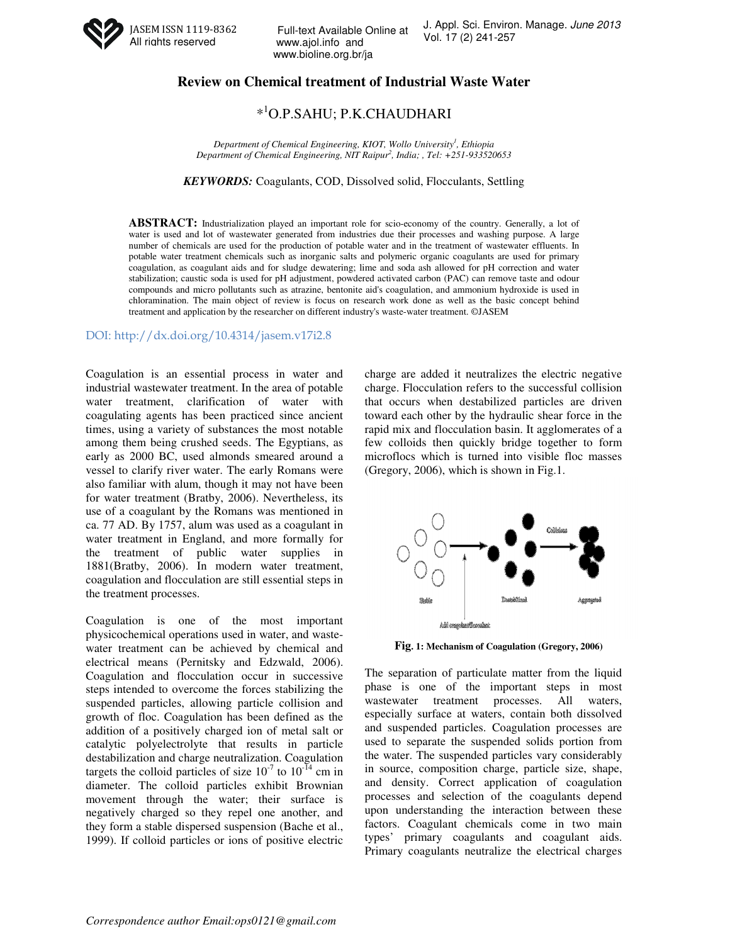

Full-text Available Online at Full-text Available Online at Full-<br>Vol. 17 (2) 241-257 www.ajol.info and www.bioline.org.br/ja

## **Review on Chemical treatment of Industrial Waste Water**

# \* <sup>1</sup>O.P.SAHU; P.K.CHAUDHARI

*Department of Chemical Engineering, KIOT, Wollo University<sup>1</sup> , Ethiopia Department of Chemical Engineering, NIT Raipur<sup>2</sup> , India; , Tel: +251-933520653* 

*KEYWORDS:* Coagulants, COD, Dissolved solid, Flocculants, Settling

ABSTRACT: Industrialization played an important role for scio-economy of the country. Generally, a lot of water is used and lot of wastewater generated from industries due their processes and washing purpose. A large number of chemicals are used for the production of potable water and in the treatment of wastewater effluents. In potable water treatment chemicals such as inorganic salts and polymeric organic coagulants are used for primary coagulation, as coagulant aids and for sludge dewatering; lime and soda ash allowed for pH correction and water stabilization; caustic soda is used for pH adjustment, powdered activated carbon (PAC) can remove taste and odour compounds and micro pollutants such as atrazine, bentonite aid's coagulation, and ammonium hydroxide is used in chloramination. The main object of review is focus on research work done as well as the basic concept behind treatment and application by the researcher on different industry's waste-water treatment. ©JASEM

#### DOI: http://dx.doi.org/10.4314/jasem.v17i2.8

Coagulation is an essential process in water and industrial wastewater treatment. In the area of potable water treatment, clarification of water with coagulating agents has been practiced since ancient times, using a variety of substances the most notable among them being crushed seeds. The Egyptians, as early as 2000 BC, used almonds smeared around a vessel to clarify river water. The early Romans were also familiar with alum, though it may not have been for water treatment (Bratby, 2006). Nevertheless, its use of a coagulant by the Romans was mentioned in ca. 77 AD. By 1757, alum was used as a coagulant in water treatment in England, and more formally for the treatment of public water supplies in 1881(Bratby, 2006). In modern water treatment, coagulation and flocculation are still essential steps in the treatment processes.

Coagulation is one of the most important physicochemical operations used in water, and wastewater treatment can be achieved by chemical and electrical means (Pernitsky and Edzwald, 2006). Coagulation and flocculation occur in successive steps intended to overcome the forces stabilizing the suspended particles, allowing particle collision and growth of floc. Coagulation has been defined as the addition of a positively charged ion of metal salt or catalytic polyelectrolyte that results in particle destabilization and charge neutralization. Coagulation targets the colloid particles of size  $10^{-7}$  to  $10^{-14}$  cm in diameter. The colloid particles exhibit Brownian movement through the water; their surface is negatively charged so they repel one another, and they form a stable dispersed suspension (Bache et al., 1999). If colloid particles or ions of positive electric

charge are added it neutralizes the electric negative charge. Flocculation refers to the successful collision that occurs when destabilized particles are driven toward each other by the hydraulic shear force in the rapid mix and flocculation basin. It agglomerates of a few colloids then quickly bridge together to form microflocs which is turned into visible floc masses (Gregory, 2006), which is shown in Fig.1.



 **Fig. 1: Mechanism of Coagulation (Gregory, 2006)**

The separation of particulate matter from the liquid phase is one of the important steps in most wastewater treatment processes. All waters, especially surface at waters, contain both dissolved and suspended particles. Coagulation processes are used to separate the suspended solids portion from the water. The suspended particles vary considerably in source, composition charge, particle size, shape, and density. Correct application of coagulation processes and selection of the coagulants depend upon understanding the interaction between these factors. Coagulant chemicals come in two main types' primary coagulants and coagulant aids. Primary coagulants neutralize the electrical charges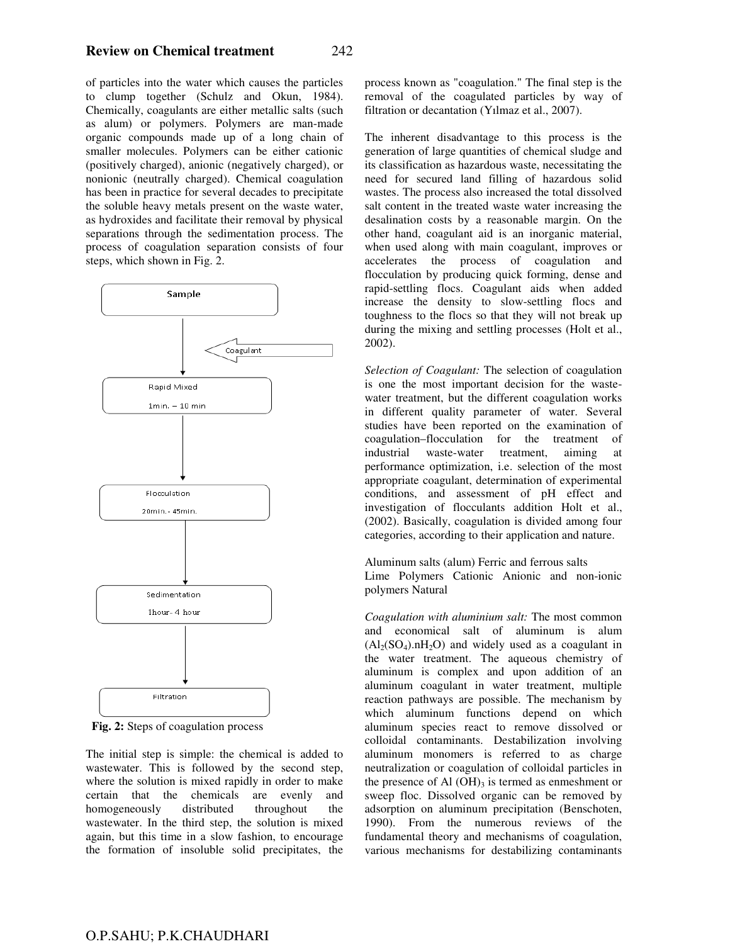of particles into the water which causes the particles to clump together (Schulz and Okun, 1984). Chemically, coagulants are either metallic salts (such as alum) or polymers. Polymers are man-made organic compounds made up of a long chain of smaller molecules. Polymers can be either cationic (positively charged), anionic (negatively charged), or nonionic (neutrally charged). Chemical coagulation has been in practice for several decades to precipitate the soluble heavy metals present on the waste water, as hydroxides and facilitate their removal by physical separations through the sedimentation process. The process of coagulation separation consists of four steps, which shown in Fig. 2.



**Fig. 2:** Steps of coagulation process

The initial step is simple: the chemical is added to wastewater. This is followed by the second step, where the solution is mixed rapidly in order to make certain that the chemicals are evenly and homogeneously distributed throughout the wastewater. In the third step, the solution is mixed again, but this time in a slow fashion, to encourage the formation of insoluble solid precipitates, the

process known as "coagulation." The final step is the removal of the coagulated particles by way of filtration or decantation (Yılmaz et al., 2007).

The inherent disadvantage to this process is the generation of large quantities of chemical sludge and its classification as hazardous waste, necessitating the need for secured land filling of hazardous solid wastes. The process also increased the total dissolved salt content in the treated waste water increasing the desalination costs by a reasonable margin. On the other hand, coagulant aid is an inorganic material, when used along with main coagulant, improves or accelerates the process of coagulation and flocculation by producing quick forming, dense and rapid-settling flocs. Coagulant aids when added increase the density to slow-settling flocs and toughness to the flocs so that they will not break up during the mixing and settling processes (Holt et al., 2002).

*Selection of Coagulant:* The selection of coagulation is one the most important decision for the wastewater treatment, but the different coagulation works in different quality parameter of water. Several studies have been reported on the examination of coagulation–flocculation for the treatment of industrial waste-water treatment, aiming at performance optimization, i.e. selection of the most appropriate coagulant, determination of experimental conditions, and assessment of pH effect and investigation of flocculants addition Holt et al., (2002). Basically, coagulation is divided among four categories, according to their application and nature.

Aluminum salts (alum) Ferric and ferrous salts Lime Polymers Cationic Anionic and non-ionic polymers Natural

*Coagulation with aluminium salt:* The most common and economical salt of aluminum is alum  $(Al<sub>2</sub>(SO<sub>4</sub>)$ .nH<sub>2</sub>O) and widely used as a coagulant in the water treatment. The aqueous chemistry of aluminum is complex and upon addition of an aluminum coagulant in water treatment, multiple reaction pathways are possible. The mechanism by which aluminum functions depend on which aluminum species react to remove dissolved or colloidal contaminants. Destabilization involving aluminum monomers is referred to as charge neutralization or coagulation of colloidal particles in the presence of Al  $(OH)$ <sub>3</sub> is termed as enmeshment or sweep floc. Dissolved organic can be removed by adsorption on aluminum precipitation (Benschoten, 1990). From the numerous reviews of the fundamental theory and mechanisms of coagulation, various mechanisms for destabilizing contaminants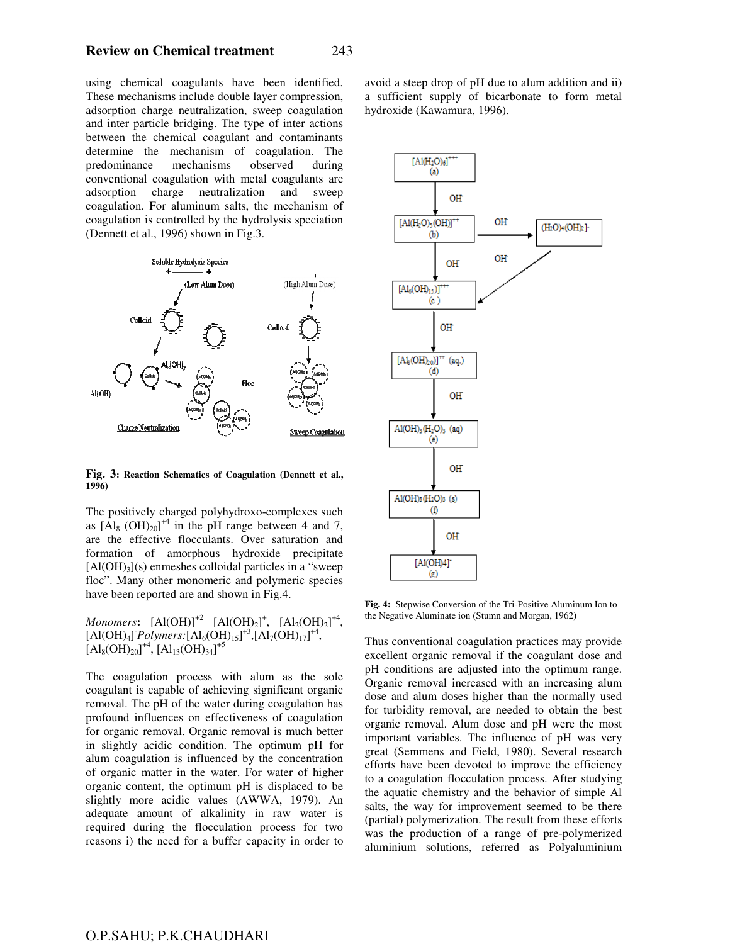using chemical coagulants have been identified. These mechanisms include double layer compression, adsorption charge neutralization, sweep coagulation and inter particle bridging. The type of inter actions between the chemical coagulant and contaminants determine the mechanism of coagulation. The predominance mechanisms observed during conventional coagulation with metal coagulants are adsorption charge neutralization and sweep coagulation. For aluminum salts, the mechanism of coagulation is controlled by the hydrolysis speciation (Dennett et al., 1996) shown in Fig.3.



**Fig. 3: Reaction Schematics of Coagulation (Dennett et al., 1996)** 

The positively charged polyhydroxo-complexes such as  $[A]_8$  (OH)<sub>20</sub>]<sup>+4</sup> in the pH range between 4 and 7, are the effective flocculants. Over saturation and formation of amorphous hydroxide precipitate  $[Al(OH)<sub>3</sub>](s)$  enmeshes colloidal particles in a "sweep" floc". Many other monomeric and polymeric species have been reported are and shown in Fig.4.

*Monomers*:  $[Al(OH)]^{+2} [Al(OH)_2]^+, [Al_2(OH)_2]^{+4},$  $[AI(OH)_4]$  *Polymers:*  $[AI_6(OH)_{15}]^{+3}$ ,  $[AI_7(OH)_{17}]^{+4}$ ,  $[Al_8(OH)_{20}]^{+4}$ ,  $[Al_{13}(OH)_{34}]^{+5}$ 

The coagulation process with alum as the sole coagulant is capable of achieving significant organic removal. The pH of the water during coagulation has profound influences on effectiveness of coagulation for organic removal. Organic removal is much better in slightly acidic condition. The optimum pH for alum coagulation is influenced by the concentration of organic matter in the water. For water of higher organic content, the optimum pH is displaced to be slightly more acidic values (AWWA, 1979). An adequate amount of alkalinity in raw water is required during the flocculation process for two reasons i) the need for a buffer capacity in order to

avoid a steep drop of pH due to alum addition and ii) a sufficient supply of bicarbonate to form metal hydroxide (Kawamura, 1996).



**Fig. 4:** Stepwise Conversion of the Tri-Positive Aluminum Ion to the Negative Aluminate ion (Stumn and Morgan, 1962**)** 

Thus conventional coagulation practices may provide excellent organic removal if the coagulant dose and pH conditions are adjusted into the optimum range. Organic removal increased with an increasing alum dose and alum doses higher than the normally used for turbidity removal, are needed to obtain the best organic removal. Alum dose and pH were the most important variables. The influence of pH was very great (Semmens and Field, 1980). Several research efforts have been devoted to improve the efficiency to a coagulation flocculation process. After studying the aquatic chemistry and the behavior of simple Al salts, the way for improvement seemed to be there (partial) polymerization. The result from these efforts was the production of a range of pre-polymerized aluminium solutions, referred as Polyaluminium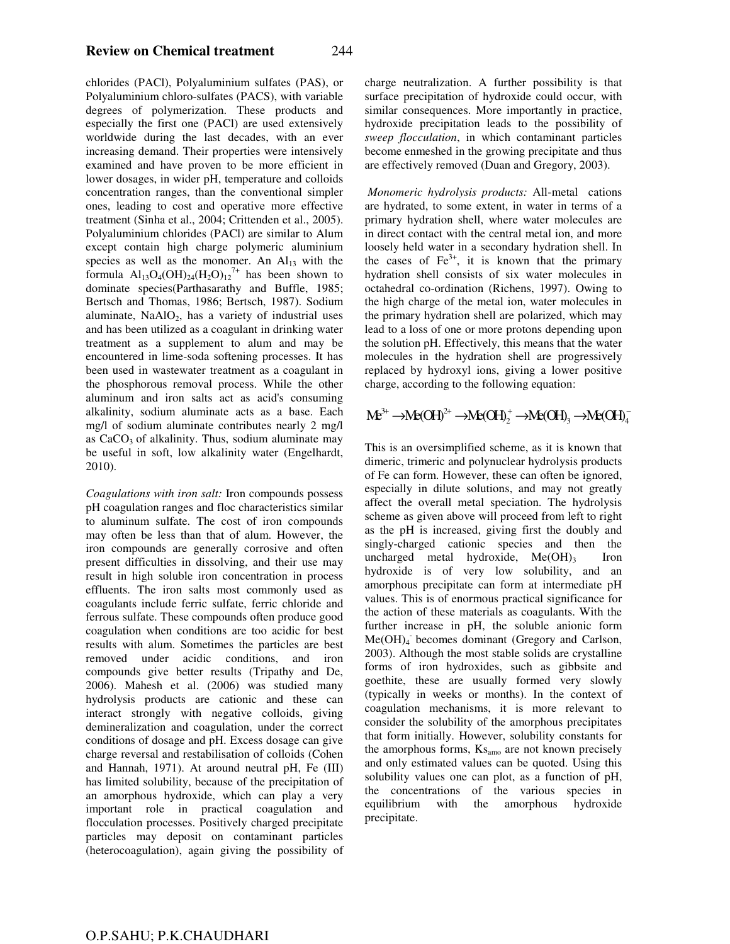chlorides (PACl), Polyaluminium sulfates (PAS), or Polyaluminium chloro-sulfates (PACS), with variable degrees of polymerization. These products and especially the first one (PACl) are used extensively worldwide during the last decades, with an ever increasing demand. Their properties were intensively examined and have proven to be more efficient in lower dosages, in wider pH, temperature and colloids concentration ranges, than the conventional simpler ones, leading to cost and operative more effective treatment (Sinha et al., 2004; Crittenden et al., 2005). Polyaluminium chlorides (PACl) are similar to Alum except contain high charge polymeric aluminium species as well as the monomer. An  $Al<sub>13</sub>$  with the formula  $Al_{13}O_4(OH)_{24}(H_2O)_{12}^{7+}$  has been shown to dominate species(Parthasarathy and Buffle, 1985; Bertsch and Thomas, 1986; Bertsch, 1987). Sodium aluminate,  $NaAlO<sub>2</sub>$ , has a variety of industrial uses and has been utilized as a coagulant in drinking water treatment as a supplement to alum and may be encountered in lime-soda softening processes. It has been used in wastewater treatment as a coagulant in the phosphorous removal process. While the other aluminum and iron salts act as acid's consuming alkalinity, sodium aluminate acts as a base. Each mg/l of sodium aluminate contributes nearly 2 mg/l as  $CaCO<sub>3</sub>$  of alkalinity. Thus, sodium aluminate may be useful in soft, low alkalinity water (Engelhardt, 2010).

*Coagulations with iron salt:* Iron compounds possess pH coagulation ranges and floc characteristics similar to aluminum sulfate. The cost of iron compounds may often be less than that of alum. However, the iron compounds are generally corrosive and often present difficulties in dissolving, and their use may result in high soluble iron concentration in process effluents. The iron salts most commonly used as coagulants include ferric sulfate, ferric chloride and ferrous sulfate. These compounds often produce good coagulation when conditions are too acidic for best results with alum. Sometimes the particles are best removed under acidic conditions, and iron compounds give better results (Tripathy and De, 2006). Mahesh et al. (2006) was studied many hydrolysis products are cationic and these can interact strongly with negative colloids, giving demineralization and coagulation, under the correct conditions of dosage and pH. Excess dosage can give charge reversal and restabilisation of colloids (Cohen and Hannah, 1971). At around neutral pH, Fe (III) has limited solubility, because of the precipitation of an amorphous hydroxide, which can play a very important role in practical coagulation and flocculation processes. Positively charged precipitate particles may deposit on contaminant particles (heterocoagulation), again giving the possibility of

charge neutralization. A further possibility is that surface precipitation of hydroxide could occur, with similar consequences. More importantly in practice, hydroxide precipitation leads to the possibility of *sweep flocculation*, in which contaminant particles become enmeshed in the growing precipitate and thus are effectively removed (Duan and Gregory, 2003).

 *Monomeric hydrolysis products:* All-metal cations are hydrated, to some extent, in water in terms of a primary hydration shell, where water molecules are in direct contact with the central metal ion, and more loosely held water in a secondary hydration shell. In the cases of  $Fe^{3+}$ , it is known that the primary hydration shell consists of six water molecules in octahedral co-ordination (Richens, 1997). Owing to the high charge of the metal ion, water molecules in the primary hydration shell are polarized, which may lead to a loss of one or more protons depending upon the solution pH. Effectively, this means that the water molecules in the hydration shell are progressively replaced by hydroxyl ions, giving a lower positive charge, according to the following equation:

$$
\mathbf{M}^{3+}\!\rightarrow\!\!\mathbf{M}\!\mathbf{e}(\mathbf{O}\!H)^{2+}\!\rightarrow\!\!\mathbf{M}\!\mathbf{e}(\mathbf{O}\!H)^{+}_{2}\!\rightarrow\!\!\mathbf{M}\!\mathbf{e}(\mathbf{O}\!H)_{3}\!\rightarrow\!\!\mathbf{M}\!\mathbf{e}(\mathbf{O}\!H)_{4}
$$

This is an oversimplified scheme, as it is known that dimeric, trimeric and polynuclear hydrolysis products of Fe can form. However, these can often be ignored, especially in dilute solutions, and may not greatly affect the overall metal speciation. The hydrolysis scheme as given above will proceed from left to right as the pH is increased, giving first the doubly and singly-charged cationic species and then the uncharged metal hydroxide,  $Me(OH)$ <sub>3</sub> Iron hydroxide is of very low solubility, and an amorphous precipitate can form at intermediate pH values. This is of enormous practical significance for the action of these materials as coagulants. With the further increase in pH, the soluble anionic form Me(OH)<sub>4</sub> becomes dominant (Gregory and Carlson, 2003). Although the most stable solids are crystalline forms of iron hydroxides, such as gibbsite and goethite, these are usually formed very slowly (typically in weeks or months). In the context of coagulation mechanisms, it is more relevant to consider the solubility of the amorphous precipitates that form initially. However, solubility constants for the amorphous forms,  $\text{Ks}_{\text{amo}}$  are not known precisely and only estimated values can be quoted. Using this solubility values one can plot, as a function of pH, the concentrations of the various species in equilibrium with the amorphous hydroxide precipitate.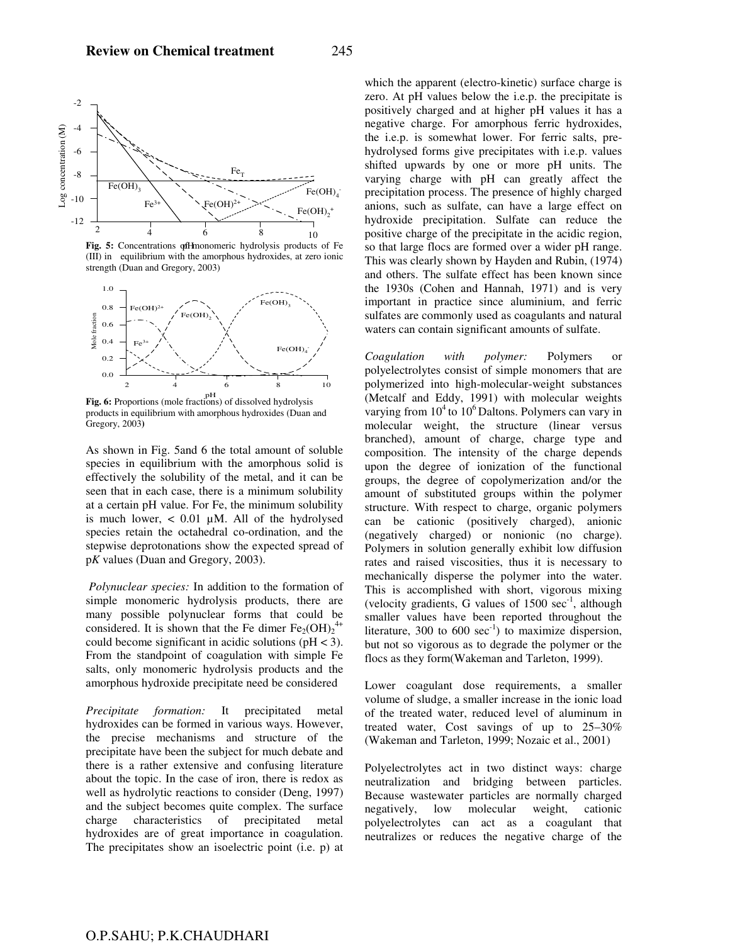

Fig. 5: Concentrations of Hmonomeric hydrolysis products of Fe (III) in equilibrium with the amorphous hydroxides, at zero ionic strength (Duan and Gregory, 2003)



Fig. 6: Proportions (mole fractions) of dissolved hydrolysis products in equilibrium with amorphous hydroxides (Duan and Gregory, 2003**)** 

As shown in Fig. 5and 6 the total amount of soluble species in equilibrium with the amorphous solid is effectively the solubility of the metal, and it can be seen that in each case, there is a minimum solubility at a certain pH value. For Fe, the minimum solubility is much lower,  $< 0.01 \mu M$ . All of the hydrolysed species retain the octahedral co-ordination, and the stepwise deprotonations show the expected spread of p*K* values (Duan and Gregory, 2003).

 *Polynuclear species:* In addition to the formation of simple monomeric hydrolysis products, there are many possible polynuclear forms that could be considered. It is shown that the Fe dimer  $Fe<sub>2</sub>(OH)<sub>2</sub><sup>4+</sup>$ could become significant in acidic solutions ( $pH < 3$ ). From the standpoint of coagulation with simple Fe salts, only monomeric hydrolysis products and the amorphous hydroxide precipitate need be considered

*Precipitate formation:* It precipitated metal hydroxides can be formed in various ways. However, the precise mechanisms and structure of the precipitate have been the subject for much debate and there is a rather extensive and confusing literature about the topic. In the case of iron, there is redox as well as hydrolytic reactions to consider (Deng, 1997) and the subject becomes quite complex. The surface charge characteristics of precipitated metal hydroxides are of great importance in coagulation. The precipitates show an isoelectric point (i.e. p) at which the apparent (electro-kinetic) surface charge is zero. At pH values below the i.e.p. the precipitate is positively charged and at higher pH values it has a negative charge. For amorphous ferric hydroxides, the i.e.p. is somewhat lower. For ferric salts, prehydrolysed forms give precipitates with i.e.p. values shifted upwards by one or more pH units. The varying charge with pH can greatly affect the precipitation process. The presence of highly charged anions, such as sulfate, can have a large effect on hydroxide precipitation. Sulfate can reduce the positive charge of the precipitate in the acidic region, so that large flocs are formed over a wider pH range. This was clearly shown by Hayden and Rubin, (1974) and others. The sulfate effect has been known since the 1930s (Cohen and Hannah, 1971) and is very important in practice since aluminium, and ferric sulfates are commonly used as coagulants and natural waters can contain significant amounts of sulfate.

*Coagulation with polymer:* Polymers or polyelectrolytes consist of simple monomers that are polymerized into high-molecular-weight substances (Metcalf and Eddy, 1991) with molecular weights varying from  $10^4$  to  $10^6$  Daltons. Polymers can vary in molecular weight, the structure (linear versus branched), amount of charge, charge type and composition. The intensity of the charge depends upon the degree of ionization of the functional groups, the degree of copolymerization and/or the amount of substituted groups within the polymer structure. With respect to charge, organic polymers can be cationic (positively charged), anionic (negatively charged) or nonionic (no charge). Polymers in solution generally exhibit low diffusion rates and raised viscosities, thus it is necessary to mechanically disperse the polymer into the water. This is accomplished with short, vigorous mixing (velocity gradients, G values of  $1500 \text{ sec}^{-1}$ , although smaller values have been reported throughout the literature, 300 to 600 sec $^{-1}$ ) to maximize dispersion, but not so vigorous as to degrade the polymer or the flocs as they form(Wakeman and Tarleton, 1999).

Lower coagulant dose requirements, a smaller volume of sludge, a smaller increase in the ionic load of the treated water, reduced level of aluminum in treated water, Cost savings of up to 25–30% (Wakeman and Tarleton, 1999; Nozaic et al., 2001)

Polyelectrolytes act in two distinct ways: charge neutralization and bridging between particles. Because wastewater particles are normally charged negatively, low molecular weight, cationic polyelectrolytes can act as a coagulant that neutralizes or reduces the negative charge of the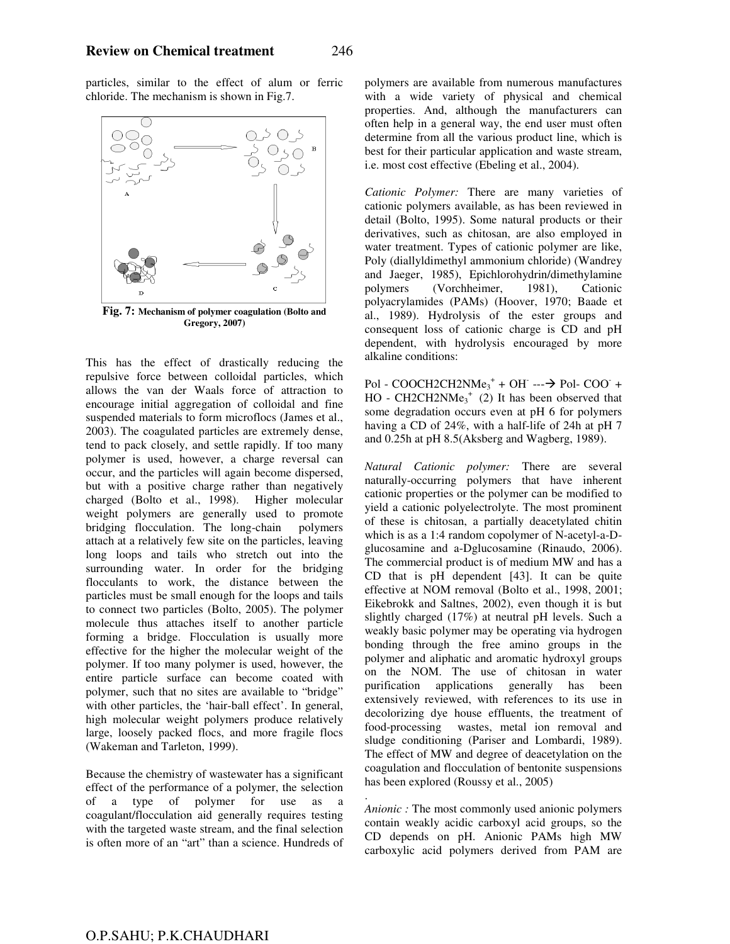particles, similar to the effect of alum or ferric chloride. The mechanism is shown in Fig.7.



**Fig. 7: Mechanism of polymer coagulation (Bolto and Gregory, 2007)**

This has the effect of drastically reducing the repulsive force between colloidal particles, which allows the van der Waals force of attraction to encourage initial aggregation of colloidal and fine suspended materials to form microflocs (James et al., 2003). The coagulated particles are extremely dense, tend to pack closely, and settle rapidly. If too many polymer is used, however, a charge reversal can occur, and the particles will again become dispersed, but with a positive charge rather than negatively charged (Bolto et al., 1998). Higher molecular weight polymers are generally used to promote bridging flocculation. The long-chain polymers attach at a relatively few site on the particles, leaving long loops and tails who stretch out into the surrounding water. In order for the bridging flocculants to work, the distance between the particles must be small enough for the loops and tails to connect two particles (Bolto, 2005). The polymer molecule thus attaches itself to another particle forming a bridge. Flocculation is usually more effective for the higher the molecular weight of the polymer. If too many polymer is used, however, the entire particle surface can become coated with polymer, such that no sites are available to "bridge" with other particles, the 'hair-ball effect'. In general, high molecular weight polymers produce relatively large, loosely packed flocs, and more fragile flocs (Wakeman and Tarleton, 1999).

Because the chemistry of wastewater has a significant effect of the performance of a polymer, the selection of a type of polymer for use as a coagulant/flocculation aid generally requires testing with the targeted waste stream, and the final selection is often more of an "art" than a science. Hundreds of polymers are available from numerous manufactures with a wide variety of physical and chemical properties. And, although the manufacturers can often help in a general way, the end user must often determine from all the various product line, which is best for their particular application and waste stream, i.e. most cost effective (Ebeling et al., 2004).

*Cationic Polymer:* There are many varieties of cationic polymers available, as has been reviewed in detail (Bolto, 1995). Some natural products or their derivatives, such as chitosan, are also employed in water treatment. Types of cationic polymer are like, Poly (diallyldimethyl ammonium chloride) (Wandrey and Jaeger, 1985), Epichlorohydrin/dimethylamine polymers (Vorchheimer, 1981), Cationic polyacrylamides (PAMs) (Hoover, 1970; Baade et al., 1989). Hydrolysis of the ester groups and consequent loss of cationic charge is CD and pH dependent, with hydrolysis encouraged by more alkaline conditions:

 $Pol - COOCH2CH2NMe<sub>3</sub><sup>+</sup> + OH<sup>-</sup> --\rightarrow Pol- COO<sup>-</sup> +$  $HO - CH2CH2NMe<sub>3</sub><sup>+</sup>$  (2) It has been observed that some degradation occurs even at pH 6 for polymers having a CD of 24%, with a half-life of 24h at pH 7 and 0.25h at pH 8.5(Aksberg and Wagberg, 1989).

*Natural Cationic polymer:* There are several naturally-occurring polymers that have inherent cationic properties or the polymer can be modified to yield a cationic polyelectrolyte. The most prominent of these is chitosan, a partially deacetylated chitin which is as a 1:4 random copolymer of N-acetyl-a-Dglucosamine and a-Dglucosamine (Rinaudo, 2006). The commercial product is of medium MW and has a CD that is pH dependent [43]. It can be quite effective at NOM removal (Bolto et al., 1998, 2001; Eikebrokk and Saltnes, 2002), even though it is but slightly charged (17%) at neutral pH levels. Such a weakly basic polymer may be operating via hydrogen bonding through the free amino groups in the polymer and aliphatic and aromatic hydroxyl groups on the NOM. The use of chitosan in water purification applications generally has been extensively reviewed, with references to its use in decolorizing dye house effluents, the treatment of food-processing wastes, metal ion removal and sludge conditioning (Pariser and Lombardi, 1989). The effect of MW and degree of deacetylation on the coagulation and flocculation of bentonite suspensions has been explored (Roussy et al., 2005)

*Anionic :* The most commonly used anionic polymers contain weakly acidic carboxyl acid groups, so the CD depends on pH. Anionic PAMs high MW carboxylic acid polymers derived from PAM are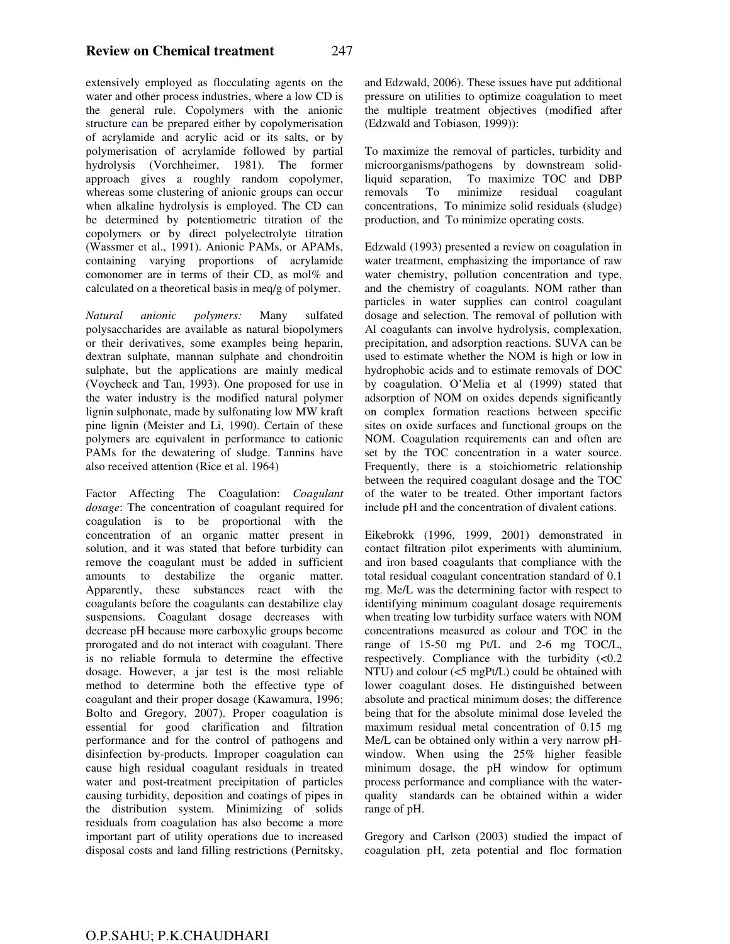extensively employed as flocculating agents on the water and other process industries, where a low CD is the general rule. Copolymers with the anionic structure can be prepared either by copolymerisation of acrylamide and acrylic acid or its salts, or by polymerisation of acrylamide followed by partial hydrolysis (Vorchheimer, 1981). The former approach gives a roughly random copolymer, whereas some clustering of anionic groups can occur when alkaline hydrolysis is employed. The CD can be determined by potentiometric titration of the copolymers or by direct polyelectrolyte titration (Wassmer et al., 1991). Anionic PAMs, or APAMs, containing varying proportions of acrylamide comonomer are in terms of their CD, as mol% and calculated on a theoretical basis in meq/g of polymer.

*Natural anionic polymers:* Many sulfated polysaccharides are available as natural biopolymers or their derivatives, some examples being heparin, dextran sulphate, mannan sulphate and chondroitin sulphate, but the applications are mainly medical (Voycheck and Tan, 1993). One proposed for use in the water industry is the modified natural polymer lignin sulphonate, made by sulfonating low MW kraft pine lignin (Meister and Li, 1990). Certain of these polymers are equivalent in performance to cationic PAMs for the dewatering of sludge. Tannins have also received attention (Rice et al. 1964)

Factor Affecting The Coagulation: *Coagulant dosage*: The concentration of coagulant required for coagulation is to be proportional with the concentration of an organic matter present in solution, and it was stated that before turbidity can remove the coagulant must be added in sufficient amounts to destabilize the organic matter. Apparently, these substances react with the coagulants before the coagulants can destabilize clay suspensions. Coagulant dosage decreases with decrease pH because more carboxylic groups become prorogated and do not interact with coagulant. There is no reliable formula to determine the effective dosage. However, a jar test is the most reliable method to determine both the effective type of coagulant and their proper dosage (Kawamura, 1996; Bolto and Gregory, 2007). Proper coagulation is essential for good clarification and filtration performance and for the control of pathogens and disinfection by-products. Improper coagulation can cause high residual coagulant residuals in treated water and post-treatment precipitation of particles causing turbidity, deposition and coatings of pipes in the distribution system. Minimizing of solids residuals from coagulation has also become a more important part of utility operations due to increased disposal costs and land filling restrictions (Pernitsky,

and Edzwald, 2006). These issues have put additional pressure on utilities to optimize coagulation to meet the multiple treatment objectives (modified after (Edzwald and Tobiason, 1999)):

To maximize the removal of particles, turbidity and microorganisms/pathogens by downstream solidliquid separation, To maximize TOC and DBP removals To minimize residual coagulant concentrations, To minimize solid residuals (sludge) production, and To minimize operating costs.

Edzwald (1993) presented a review on coagulation in water treatment, emphasizing the importance of raw water chemistry, pollution concentration and type, and the chemistry of coagulants. NOM rather than particles in water supplies can control coagulant dosage and selection. The removal of pollution with Al coagulants can involve hydrolysis, complexation, precipitation, and adsorption reactions. SUVA can be used to estimate whether the NOM is high or low in hydrophobic acids and to estimate removals of DOC by coagulation. O'Melia et al (1999) stated that adsorption of NOM on oxides depends significantly on complex formation reactions between specific sites on oxide surfaces and functional groups on the NOM. Coagulation requirements can and often are set by the TOC concentration in a water source. Frequently, there is a stoichiometric relationship between the required coagulant dosage and the TOC of the water to be treated. Other important factors include pH and the concentration of divalent cations.

Eikebrokk (1996, 1999, 2001) demonstrated in contact filtration pilot experiments with aluminium, and iron based coagulants that compliance with the total residual coagulant concentration standard of 0.1 mg. Me/L was the determining factor with respect to identifying minimum coagulant dosage requirements when treating low turbidity surface waters with NOM concentrations measured as colour and TOC in the range of 15-50 mg Pt/L and 2-6 mg TOC/L, respectively. Compliance with the turbidity  $\leq 0.2$ NTU) and colour (<5 mgPt/L) could be obtained with lower coagulant doses. He distinguished between absolute and practical minimum doses; the difference being that for the absolute minimal dose leveled the maximum residual metal concentration of 0.15 mg Me/L can be obtained only within a very narrow pHwindow. When using the 25% higher feasible minimum dosage, the pH window for optimum process performance and compliance with the waterquality standards can be obtained within a wider range of pH.

Gregory and Carlson (2003) studied the impact of coagulation pH, zeta potential and floc formation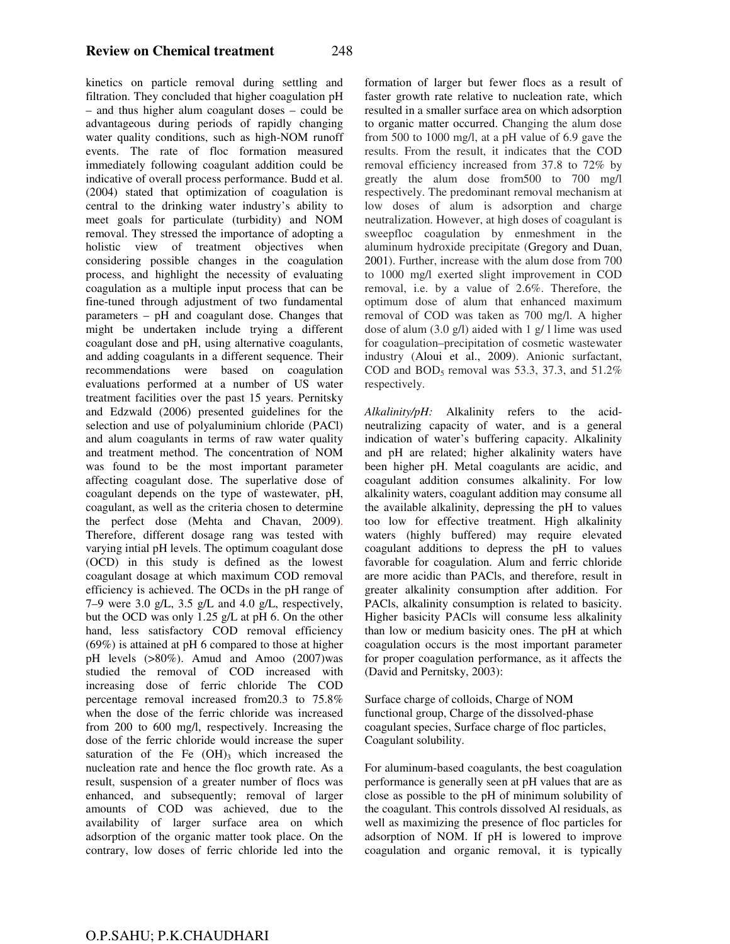kinetics on particle removal during settling and filtration. They concluded that higher coagulation pH – and thus higher alum coagulant doses – could be advantageous during periods of rapidly changing water quality conditions, such as high-NOM runoff events. The rate of floc formation measured immediately following coagulant addition could be indicative of overall process performance. Budd et al. (2004) stated that optimization of coagulation is central to the drinking water industry's ability to meet goals for particulate (turbidity) and NOM removal. They stressed the importance of adopting a holistic view of treatment objectives when considering possible changes in the coagulation process, and highlight the necessity of evaluating coagulation as a multiple input process that can be fine-tuned through adjustment of two fundamental parameters – pH and coagulant dose. Changes that might be undertaken include trying a different coagulant dose and pH, using alternative coagulants, and adding coagulants in a different sequence. Their recommendations were based on coagulation evaluations performed at a number of US water treatment facilities over the past 15 years. Pernitsky and Edzwald (2006) presented guidelines for the selection and use of polyaluminium chloride (PACl) and alum coagulants in terms of raw water quality and treatment method. The concentration of NOM was found to be the most important parameter affecting coagulant dose. The superlative dose of coagulant depends on the type of wastewater, pH, coagulant, as well as the criteria chosen to determine the perfect dose (Mehta and Chavan, 2009). Therefore, different dosage rang was tested with varying intial pH levels. The optimum coagulant dose (OCD) in this study is defined as the lowest coagulant dosage at which maximum COD removal efficiency is achieved. The OCDs in the pH range of 7–9 were 3.0 g/L, 3.5 g/L and 4.0 g/L, respectively, but the OCD was only 1.25 g/L at pH 6. On the other hand, less satisfactory COD removal efficiency (69%) is attained at pH 6 compared to those at higher pH levels (>80%). Amud and Amoo (2007)was studied the removal of COD increased with increasing dose of ferric chloride The COD percentage removal increased from20.3 to 75.8% when the dose of the ferric chloride was increased from 200 to 600 mg/l, respectively. Increasing the dose of the ferric chloride would increase the super saturation of the Fe  $(OH)_{3}$  which increased the nucleation rate and hence the floc growth rate. As a result, suspension of a greater number of flocs was enhanced, and subsequently; removal of larger amounts of COD was achieved, due to the availability of larger surface area on which adsorption of the organic matter took place. On the contrary, low doses of ferric chloride led into the

formation of larger but fewer flocs as a result of faster growth rate relative to nucleation rate, which resulted in a smaller surface area on which adsorption to organic matter occurred. Changing the alum dose from 500 to 1000 mg/l, at a pH value of 6.9 gave the results. From the result, it indicates that the COD removal efficiency increased from 37.8 to 72% by greatly the alum dose from500 to 700 mg/l respectively. The predominant removal mechanism at low doses of alum is adsorption and charge neutralization. However, at high doses of coagulant is sweepfloc coagulation by enmeshment in the aluminum hydroxide precipitate (Gregory and Duan, 2001). Further, increase with the alum dose from 700 to 1000 mg/l exerted slight improvement in COD removal, i.e. by a value of 2.6%. Therefore, the optimum dose of alum that enhanced maximum removal of COD was taken as 700 mg/l. A higher dose of alum (3.0 g/l) aided with 1 g/ l lime was used for coagulation–precipitation of cosmetic wastewater industry (Aloui et al., 2009). Anionic surfactant, COD and BOD<sub>5</sub> removal was 53.3, 37.3, and  $51.2\%$ respectively.

*Alkalinity/pH:* Alkalinity refers to the acidneutralizing capacity of water, and is a general indication of water's buffering capacity. Alkalinity and pH are related; higher alkalinity waters have been higher pH. Metal coagulants are acidic, and coagulant addition consumes alkalinity. For low alkalinity waters, coagulant addition may consume all the available alkalinity, depressing the pH to values too low for effective treatment. High alkalinity waters (highly buffered) may require elevated coagulant additions to depress the pH to values favorable for coagulation. Alum and ferric chloride are more acidic than PACls, and therefore, result in greater alkalinity consumption after addition. For PACls, alkalinity consumption is related to basicity. Higher basicity PACls will consume less alkalinity than low or medium basicity ones. The pH at which coagulation occurs is the most important parameter for proper coagulation performance, as it affects the (David and Pernitsky, 2003):

Surface charge of colloids, Charge of NOM functional group, Charge of the dissolved-phase coagulant species, Surface charge of floc particles, Coagulant solubility.

For aluminum-based coagulants, the best coagulation performance is generally seen at pH values that are as close as possible to the pH of minimum solubility of the coagulant. This controls dissolved Al residuals, as well as maximizing the presence of floc particles for adsorption of NOM. If pH is lowered to improve coagulation and organic removal, it is typically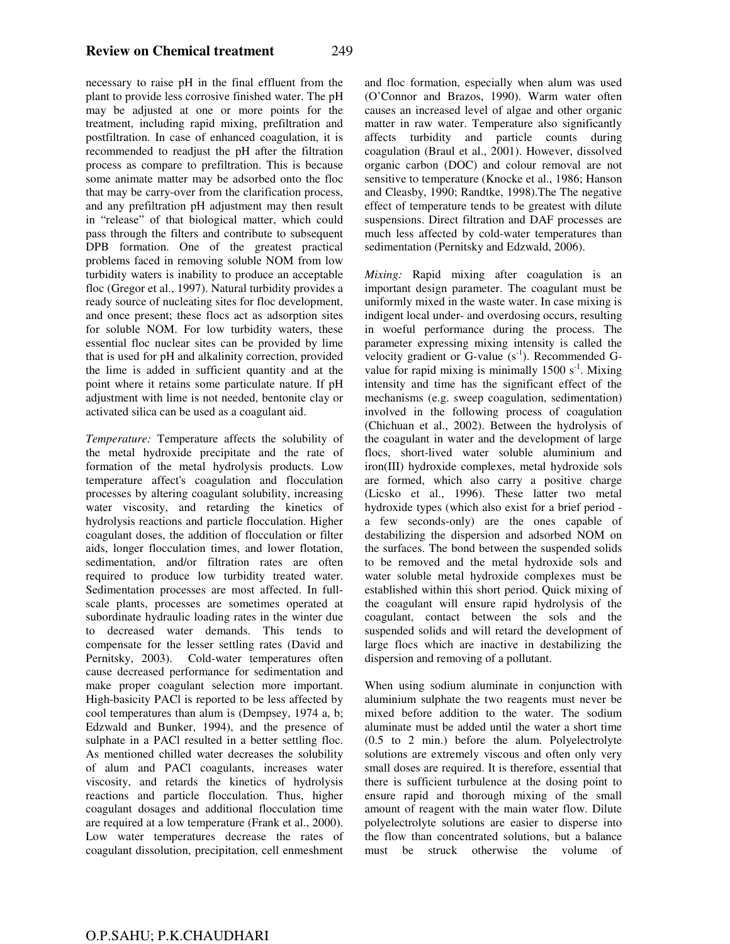necessary to raise pH in the final effluent from the plant to provide less corrosive finished water. The pH may be adjusted at one or more points for the treatment, including rapid mixing, prefiltration and postfiltration. In case of enhanced coagulation, it is recommended to readjust the pH after the filtration process as compare to prefiltration. This is because some animate matter may be adsorbed onto the floc that may be carry-over from the clarification process, and any prefiltration pH adjustment may then result in "release" of that biological matter, which could pass through the filters and contribute to subsequent DPB formation. One of the greatest practical problems faced in removing soluble NOM from low turbidity waters is inability to produce an acceptable floc (Gregor et al., 1997). Natural turbidity provides a ready source of nucleating sites for floc development, and once present; these flocs act as adsorption sites for soluble NOM. For low turbidity waters, these essential floc nuclear sites can be provided by lime that is used for pH and alkalinity correction, provided the lime is added in sufficient quantity and at the point where it retains some particulate nature. If pH adjustment with lime is not needed, bentonite clay or activated silica can be used as a coagulant aid.

*Temperature:* Temperature affects the solubility of the metal hydroxide precipitate and the rate of formation of the metal hydrolysis products. Low temperature affect's coagulation and flocculation processes by altering coagulant solubility, increasing water viscosity, and retarding the kinetics of hydrolysis reactions and particle flocculation. Higher coagulant doses, the addition of flocculation or filter aids, longer flocculation times, and lower flotation, sedimentation, and/or filtration rates are often required to produce low turbidity treated water. Sedimentation processes are most affected. In fullscale plants, processes are sometimes operated at subordinate hydraulic loading rates in the winter due to decreased water demands. This tends to compensate for the lesser settling rates (David and Pernitsky, 2003). Cold-water temperatures often cause decreased performance for sedimentation and make proper coagulant selection more important. High-basicity PACl is reported to be less affected by cool temperatures than alum is (Dempsey, 1974 a, b; Edzwald and Bunker, 1994), and the presence of sulphate in a PACl resulted in a better settling floc. As mentioned chilled water decreases the solubility of alum and PACl coagulants, increases water viscosity, and retards the kinetics of hydrolysis reactions and particle flocculation. Thus, higher coagulant dosages and additional flocculation time are required at a low temperature (Frank et al., 2000). Low water temperatures decrease the rates of coagulant dissolution, precipitation, cell enmeshment

and floc formation, especially when alum was used (O'Connor and Brazos, 1990). Warm water often causes an increased level of algae and other organic matter in raw water. Temperature also significantly affects turbidity and particle counts during coagulation (Braul et al., 2001). However, dissolved organic carbon (DOC) and colour removal are not sensitive to temperature (Knocke et al., 1986; Hanson and Cleasby, 1990; Randtke, 1998).The The negative effect of temperature tends to be greatest with dilute suspensions. Direct filtration and DAF processes are much less affected by cold-water temperatures than sedimentation (Pernitsky and Edzwald, 2006).

*Mixing:* Rapid mixing after coagulation is an important design parameter. The coagulant must be uniformly mixed in the waste water. In case mixing is indigent local under- and overdosing occurs, resulting in woeful performance during the process. The parameter expressing mixing intensity is called the velocity gradient or G-value  $(s^{-1})$ . Recommended Gvalue for rapid mixing is minimally 1500  $s^{-1}$ . Mixing intensity and time has the significant effect of the mechanisms (e.g. sweep coagulation, sedimentation) involved in the following process of coagulation (Chichuan et al., 2002). Between the hydrolysis of the coagulant in water and the development of large flocs, short-lived water soluble aluminium and iron(III) hydroxide complexes, metal hydroxide sols are formed, which also carry a positive charge (Licsko et al., 1996). These latter two metal hydroxide types (which also exist for a brief period a few seconds-only) are the ones capable of destabilizing the dispersion and adsorbed NOM on the surfaces. The bond between the suspended solids to be removed and the metal hydroxide sols and water soluble metal hydroxide complexes must be established within this short period. Quick mixing of the coagulant will ensure rapid hydrolysis of the coagulant, contact between the sols and the suspended solids and will retard the development of large flocs which are inactive in destabilizing the dispersion and removing of a pollutant.

When using sodium aluminate in conjunction with aluminium sulphate the two reagents must never be mixed before addition to the water. The sodium aluminate must be added until the water a short time (0.5 to 2 min.) before the alum. Polyelectrolyte solutions are extremely viscous and often only very small doses are required. It is therefore, essential that there is sufficient turbulence at the dosing point to ensure rapid and thorough mixing of the small amount of reagent with the main water flow. Dilute polyelectrolyte solutions are easier to disperse into the flow than concentrated solutions, but a balance must be struck otherwise the volume of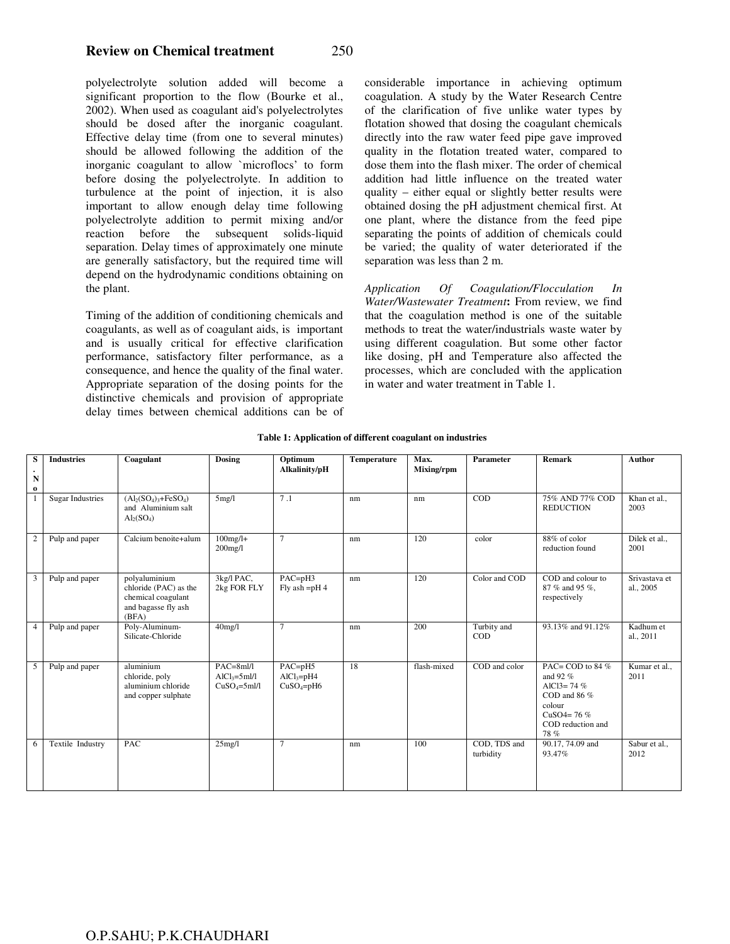polyelectrolyte solution added will become a significant proportion to the flow (Bourke et al., 2002). When used as coagulant aid's polyelectrolytes should be dosed after the inorganic coagulant. Effective delay time (from one to several minutes) should be allowed following the addition of the inorganic coagulant to allow `microflocs' to form before dosing the polyelectrolyte. In addition to turbulence at the point of injection, it is also important to allow enough delay time following polyelectrolyte addition to permit mixing and/or reaction before the subsequent solids-liquid separation. Delay times of approximately one minute are generally satisfactory, but the required time will depend on the hydrodynamic conditions obtaining on the plant.

Timing of the addition of conditioning chemicals and coagulants, as well as of coagulant aids, is important and is usually critical for effective clarification performance, satisfactory filter performance, as a consequence, and hence the quality of the final water. Appropriate separation of the dosing points for the distinctive chemicals and provision of appropriate delay times between chemical additions can be of considerable importance in achieving optimum coagulation. A study by the Water Research Centre of the clarification of five unlike water types by flotation showed that dosing the coagulant chemicals directly into the raw water feed pipe gave improved quality in the flotation treated water, compared to dose them into the flash mixer. The order of chemical addition had little influence on the treated water quality – either equal or slightly better results were obtained dosing the pH adjustment chemical first. At one plant, where the distance from the feed pipe separating the points of addition of chemicals could be varied; the quality of water deteriorated if the separation was less than 2 m.

*Application Of Coagulation/Flocculation In Water/Wastewater Treatment***:** From review, we find that the coagulation method is one of the suitable methods to treat the water/industrials waste water by using different coagulation. But some other factor like dosing, pH and Temperature also affected the processes, which are concluded with the application in water and water treatment in Table 1.

| S<br>N<br>$\bf{0}$ | <b>Industries</b>       | Coagulant                                                                                    | <b>Dosing</b>                                   | Optimum<br>Alkalinity/pH              | <b>Temperature</b> | Max.<br>Mixing/rpm | Parameter                 | <b>Remark</b>                                                                                                         | <b>Author</b>              |
|--------------------|-------------------------|----------------------------------------------------------------------------------------------|-------------------------------------------------|---------------------------------------|--------------------|--------------------|---------------------------|-----------------------------------------------------------------------------------------------------------------------|----------------------------|
|                    | <b>Sugar Industries</b> | $(Al_2(SO_4)_{3} + FeSO_4)$<br>and Aluminium salt<br>Al <sub>2</sub> (SO <sub>4</sub> )      | 5mg/l                                           | 7.1                                   | nm                 | nm                 | $\overline{COD}$          | 75% AND 77% COD<br><b>REDUCTION</b>                                                                                   | Khan et al.,<br>2003       |
| $\overline{c}$     | Pulp and paper          | Calcium benoite+alum                                                                         | $100$ mg/l+<br>$200$ mg/l                       | $\tau$                                | nm                 | 120                | color                     | 88% of color<br>reduction found                                                                                       | Dilek et al.,<br>2001      |
| 3                  | Pulp and paper          | polyaluminium<br>chloride (PAC) as the<br>chemical coagulant<br>and bagasse fly ash<br>(BFA) | 3kg/l PAC,<br>2kg FOR FLY                       | $PAC = pH3$<br>Fly ash = $pH 4$       | nm                 | 120                | Color and COD             | COD and colour to<br>87 % and 95 %,<br>respectively                                                                   | Srivastava et<br>al., 2005 |
| $\overline{4}$     | Pulp and paper          | Poly-Aluminum-<br>Silicate-Chloride                                                          | $40$ mg/l                                       | $\tau$                                | nm                 | 200                | Turbity and<br><b>COD</b> | 93.13% and 91.12%                                                                                                     | Kadhum et<br>al., 2011     |
| 5                  | Pulp and paper          | aluminium<br>chloride, poly<br>aluminium chloride<br>and copper sulphate                     | $PAC = 8ml/l$<br>$AlCl3=5ml/l$<br>$CuSO4=5ml/l$ | PAC=pH5<br>$AlCl3=pH4$<br>$CuSO4=pH6$ | 18                 | flash-mixed        | COD and color             | PAC= COD to 84 $%$<br>and 92 %<br>AlCl3= 74 $%$<br>COD and 86 %<br>colour<br>$CuSO4=76%$<br>COD reduction and<br>78 % | Kumar et al.,<br>2011      |
| 6                  | Textile Industry        | PAC                                                                                          | $25$ mg/l                                       | $\tau$                                | nm                 | 100                | COD, TDS and<br>turbidity | 90.17, 74.09 and<br>93.47%                                                                                            | Sabur et al.,<br>2012      |

**Table 1: Application of different coagulant on industries**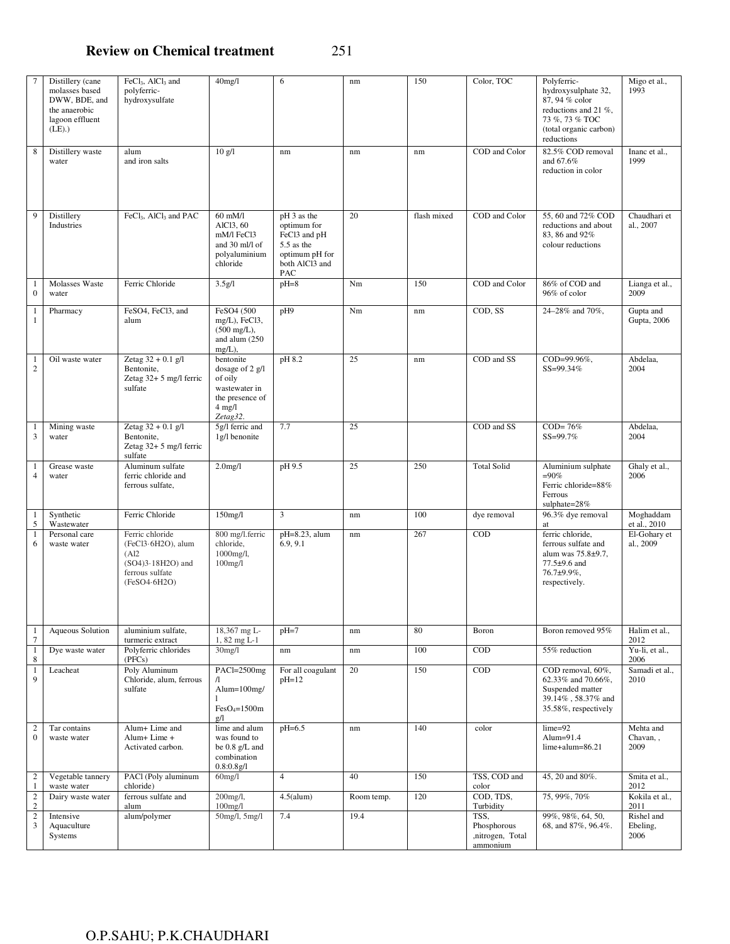| 7                                         | Distillery (cane<br>molasses based<br>DWW, BDE, and<br>the anaerobic<br>lagoon effluent<br>(LE). | FeCl <sub>3</sub> , AlCl <sub>3</sub> and<br>polyferric-<br>hydroxysulfate                                 | 40mg/l                                                                                              | 6                                                                                                   | nm         | 150         | Color, TOC                                          | Polyferric-<br>hydroxysulphate 32,<br>87, 94 % color<br>reductions and 21 $\%$ ,<br>73 %, 73 % TOC<br>(total organic carbon)<br>reductions | Migo et al.,<br>1993           |
|-------------------------------------------|--------------------------------------------------------------------------------------------------|------------------------------------------------------------------------------------------------------------|-----------------------------------------------------------------------------------------------------|-----------------------------------------------------------------------------------------------------|------------|-------------|-----------------------------------------------------|--------------------------------------------------------------------------------------------------------------------------------------------|--------------------------------|
| 8                                         | Distillery waste<br>water                                                                        | alum<br>and iron salts                                                                                     | $10 \text{ g}/1$                                                                                    | nm                                                                                                  | nm         | nm          | COD and Color                                       | 82.5% COD removal<br>and 67.6%<br>reduction in color                                                                                       | Inanc et al.,<br>1999          |
| 9                                         | Distillery<br>Industries                                                                         | FeCl <sub>3</sub> , AlCl <sub>3</sub> and PAC                                                              | 60 mM/l<br>AlC <sub>13</sub> , 60<br>mM/l FeCl3<br>and 30 ml/l of<br>polyaluminium<br>chloride      | pH 3 as the<br>optimum for<br>FeCl3 and pH<br>5.5 as the<br>optimum pH for<br>both AlCl3 and<br>PAC | 20         | flash mixed | COD and Color                                       | 55, 60 and 72% COD<br>reductions and about<br>83, 86 and 92%<br>colour reductions                                                          | Chaudhari et<br>al., 2007      |
| 1<br>$\boldsymbol{0}$                     | Molasses Waste<br>water                                                                          | Ferric Chloride                                                                                            | 3.5g/l                                                                                              | $pH=8$                                                                                              | Nm         | 150         | COD and Color                                       | 86% of COD and<br>96% of color                                                                                                             | Lianga et al.,<br>2009         |
| 1<br>$\mathbf{1}$                         | Pharmacy                                                                                         | FeSO4, FeCl3, and<br>alum                                                                                  | FeSO4 (500<br>$mg/L$ ), FeCl3,<br>$(500 \text{ mg/L}),$<br>and alum (250)<br>$mg/L$ ),              | pH9                                                                                                 | Nm         | nm          | $COD, \overline{SS}$                                | 24-28% and 70%,                                                                                                                            | Gupta and<br>Gupta, 2006       |
| 1<br>$\sqrt{2}$                           | Oil waste water                                                                                  | Zetag $32 + 0.1$ g/l<br>Bentonite,<br>Zetag 32+ 5 mg/l ferric<br>sulfate                                   | bentonite<br>dosage of 2 g/l<br>of oily<br>wastewater in<br>the presence of<br>$4$ mg/l<br>Zetag32. | pH 8.2                                                                                              | 25         | nm          | COD and SS                                          | COD=99.96%,<br>SS=99.34%                                                                                                                   | Abdelaa,<br>2004               |
| 1<br>$\mathfrak{Z}$                       | Mining waste<br>water                                                                            | Zetag $32 + 0.1$ g/l<br>Bentonite,<br>Zetag $32+5$ mg/l ferric<br>sulfate                                  | 5g/l ferric and<br>1g/l benonite                                                                    | 7.7                                                                                                 | 25         |             | COD and SS                                          | $COD = 76%$<br>SS=99.7%                                                                                                                    | Abdelaa,<br>2004               |
| 1<br>$\overline{4}$                       | Grease waste<br>water                                                                            | Aluminum sulfate<br>ferric chloride and<br>ferrous sulfate,                                                | $2.0$ mg/l                                                                                          | pH 9.5                                                                                              | 25         | 250         | <b>Total Solid</b>                                  | Aluminium sulphate<br>$=90\%$<br>Ferric chloride=88%<br>Ferrous<br>sulphate= $28%$                                                         | Ghaly et al.,<br>2006          |
| 1<br>5                                    | Synthetic<br>Wastewater                                                                          | Ferric Chloride                                                                                            | $150$ mg/l                                                                                          | 3                                                                                                   | nm         | 100         | dye removal                                         | 96.3% dye removal<br>at                                                                                                                    | Moghaddam<br>et al., 2010      |
| $\mathbf{1}$<br>6                         | Personal care<br>waste water                                                                     | Ferric chloride<br>$(FeCl3.6H2O)$ , alum<br>(A12)<br>$(SO4)3.18H2O$ and<br>ferrous sulfate<br>(FeSO4.6H2O) | 800 mg/l.ferric<br>chloride,<br>1000mg/l,<br>$100$ mg/l                                             | pH=8.23, alum<br>6.9, 9.1                                                                           | nm         | 267         | COD                                                 | ferric chloride,<br>ferrous sulfate and<br>alum was 75.8±9.7.<br>77.5±9.6 and<br>76.7±9.9%,<br>respectively.                               | El-Gohary et<br>al., 2009      |
| $\mathbf{1}$<br>$\tau$                    | Aqueous Solution                                                                                 | aluminium sulfate,<br>turmeric extract                                                                     | 18,367 mg L-<br>1, 82 mg L-1                                                                        | $pH=7$                                                                                              | nm         | 80          | Boron                                               | Boron removed 95%                                                                                                                          | Halim et al.,<br>2012          |
| $\mathbf{1}$<br>$\,8\,$                   | Dye waste water                                                                                  | Polyferric chlorides<br>(PFCs)                                                                             | 30mg/l                                                                                              | $\rm nm$                                                                                            | nm         | 100         | COD                                                 | 55% reduction                                                                                                                              | Yu-li, et al.,<br>2006         |
| $\mathbf{1}$<br>9                         | Leacheat                                                                                         | Poly Aluminum<br>Chloride, alum, ferrous<br>sulfate                                                        | PACl=2500mg<br>$\sqrt{1}$<br>Alum= $100$ mg/<br>$FesO4=1500m$<br>g/l                                | For all coagulant<br>$pH=12$                                                                        | 20         | 150         | $\rm{COD}$                                          | COD removal, 60%,<br>62.33% and 70.66%,<br>Suspended matter<br>39.14%, 58.37% and<br>35.58%, respectively                                  | Samadi et al.,<br>2010         |
| $\overline{c}$<br>$\boldsymbol{0}$        | Tar contains<br>waste water                                                                      | Alum+ Lime and<br>Alum+ Lime +<br>Activated carbon.                                                        | lime and alum<br>was found to<br>be $0.8 \text{ g/L}$ and<br>combination<br>0.8:0.8g/1              | pH=6.5                                                                                              | nm         | 140         | color                                               | lime=92<br>Alum=91.4<br>$lime + alum = 86.21$                                                                                              | Mehta and<br>Chavan, ,<br>2009 |
| $\boldsymbol{2}$<br>1                     | Vegetable tannery<br>waste water                                                                 | PACl (Poly aluminum<br>chloride)                                                                           | 60mg/l                                                                                              | $\overline{4}$                                                                                      | 40         | 150         | TSS, COD and<br>color                               | 45, 20 and 80%.                                                                                                                            | Smita et al.,<br>2012          |
| $\overline{2}$<br>$\overline{c}$          | Dairy waste water                                                                                | ferrous sulfate and<br>alum                                                                                | 200mg/l,<br>$100$ mg/ $1$                                                                           | $4.5$ (alum)                                                                                        | Room temp. | 120         | COD, TDS,<br>Turbidity                              | 75, 99%, 70%                                                                                                                               | Kokila et al.,<br>2011         |
| $\overline{2}$<br>$\overline{\mathbf{3}}$ | Intensive<br>Aquaculture<br>Systems                                                              | alum/polymer                                                                                               | 50mg/l, 5mg/l                                                                                       | 7.4                                                                                                 | 19.4       |             | TSS,<br>Phosphorous<br>,nitrogen, Total<br>ammonium | 99%, 98%, 64, 50,<br>68, and 87%, 96.4%.                                                                                                   | Rishel and<br>Ebeling,<br>2006 |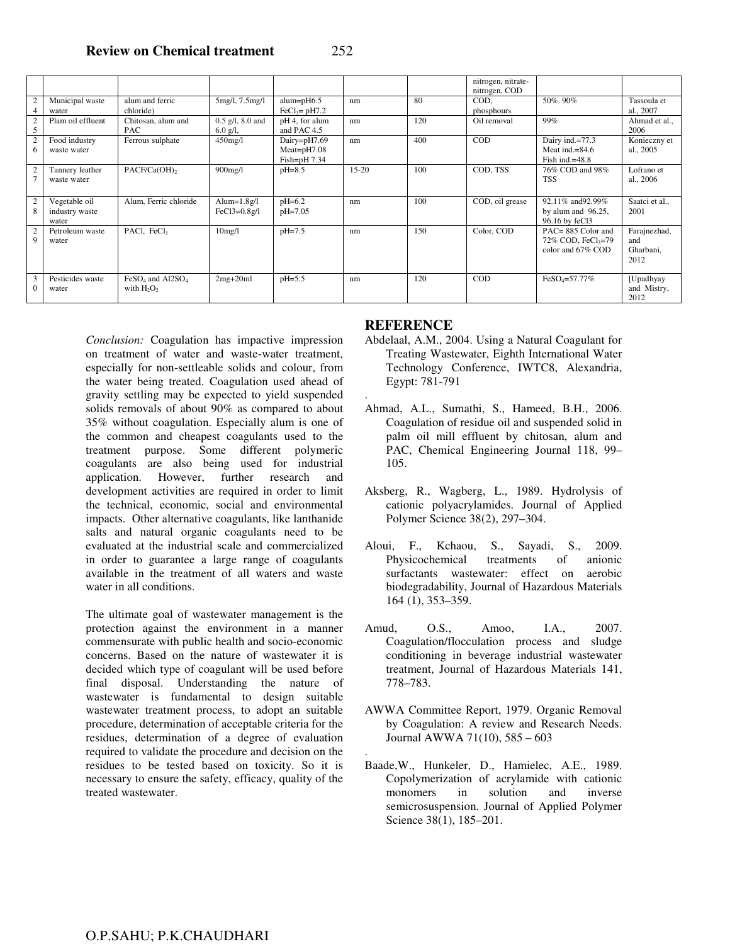|   |                   |                                |                      |                |         |     | nitrogen, nitrate-<br>nitrogen, COD |                                   |                |
|---|-------------------|--------------------------------|----------------------|----------------|---------|-----|-------------------------------------|-----------------------------------|----------------|
| 2 | Municipal waste   | alum and ferric                | 5mg/l, 7.5mg/l       | $alum=pH6.5$   | nm      | 80  | COD,                                | 50%, 90%                          | Tassoula et    |
|   | water             | chloride)                      |                      | $FeCl3=pH7.2$  |         |     | phosphours                          |                                   | al., 2007      |
|   | Plam oil effluent | Chitosan, alum and             | $0.5$ g/l, $8.0$ and | pH 4, for alum | nm      | 120 | Oil removal                         | 99%                               | Ahmad et al.,  |
|   |                   | PAC                            | $6.0 \text{ g/l}$ ,  | and PAC 4.5    |         |     |                                     |                                   | 2006           |
| 2 | Food industry     | Ferrous sulphate               | $450$ mg/l           | Dairy=pH7.69   | nm      | 400 | $\rm{COD}$                          | Dairy ind.=77.3                   | Konieczny et   |
| 6 | waste water       |                                |                      | $Meat=pH7.08$  |         |     |                                     | Meat ind. $= 84.6$                | al., 2005      |
|   |                   |                                |                      | $Fish=pH 7.34$ |         |     |                                     | Fish ind. $=48.8$                 |                |
| 2 | Tannery leather   | PACF/Ca(OH)2                   | 900mg/l              | $pH = 8.5$     | $15-20$ | 100 | COD, TSS                            | 76% COD and 98%                   | Lofrano et     |
|   | waste water       |                                |                      |                |         |     |                                     | <b>TSS</b>                        | al., 2006      |
|   |                   |                                |                      |                |         |     |                                     |                                   |                |
| 2 | Vegetable oil     | Alum, Ferric chloride          | Alum= $1.8g/l$       | $pH=6.2$       | nm      | 100 | COD, oil grease                     | 92.11% and 92.99%                 | Saatci et al., |
| 8 | industry waste    |                                | $FeCl3 = 0.8g/l$     | pH=7.05        |         |     |                                     | by alum and $96.25$ ,             | 2001           |
|   | water             |                                |                      |                |         |     |                                     | 96.16 by feCl3                    |                |
| 2 | Petroleum waste   | PACl. FeCl3                    | 10mg/l               | $pH = 7.5$     | nm      | 150 | Color, COD                          | PAC=885 Color and                 | Farajnezhad,   |
| 9 | water             |                                |                      |                |         |     |                                     | $72\%$ COD, FeCl <sub>3</sub> =79 | and            |
|   |                   |                                |                      |                |         |     |                                     | color and $67\%$ COD              | Gharbani,      |
|   |                   |                                |                      |                |         |     |                                     |                                   | 2012           |
|   |                   |                                |                      |                |         |     |                                     |                                   |                |
| 3 | Pesticides waste  | $FeSO4$ and Al2SO <sub>4</sub> | $2mg+20ml$           | $pH = 5.5$     | nm      | 120 | $\rm{COD}$                          | $FeSO4=57.77%$                    | [Upadhyay]     |
|   | water             | with $H_2O_2$                  |                      |                |         |     |                                     |                                   | and Mistry,    |
|   |                   |                                |                      |                |         |     |                                     |                                   | 2012           |

#### **REFERENCE**

*Conclusion:* Coagulation has impactive impression on treatment of water and waste-water treatment, especially for non-settleable solids and colour, from the water being treated. Coagulation used ahead of gravity settling may be expected to yield suspended solids removals of about 90% as compared to about 35% without coagulation. Especially alum is one of the common and cheapest coagulants used to the treatment purpose. Some different polymeric coagulants are also being used for industrial application. However, further research and development activities are required in order to limit the technical, economic, social and environmental impacts. Other alternative coagulants, like lanthanide salts and natural organic coagulants need to be evaluated at the industrial scale and commercialized in order to guarantee a large range of coagulants available in the treatment of all waters and waste water in all conditions.

The ultimate goal of wastewater management is the protection against the environment in a manner commensurate with public health and socio-economic concerns. Based on the nature of wastewater it is decided which type of coagulant will be used before final disposal. Understanding the nature of wastewater is fundamental to design suitable wastewater treatment process, to adopt an suitable procedure, determination of acceptable criteria for the residues, determination of a degree of evaluation required to validate the procedure and decision on the residues to be tested based on toxicity. So it is necessary to ensure the safety, efficacy, quality of the treated wastewater.

- Abdelaal, A.M., 2004. Using a Natural Coagulant for Treating Wastewater, Eighth International Water Technology Conference, IWTC8, Alexandria, Egypt: 781-791
- . Ahmad, A.L., Sumathi, S., Hameed, B.H., 2006. Coagulation of residue oil and suspended solid in palm oil mill effluent by chitosan, alum and PAC, Chemical Engineering Journal 118, 99– 105.
- Aksberg, R., Wagberg, L., 1989. Hydrolysis of cationic polyacrylamides. Journal of Applied Polymer Science 38(2), 297–304.
- Aloui, F., Kchaou, S., Sayadi, S., 2009. Physicochemical treatments of anionic surfactants wastewater: effect on aerobic biodegradability, Journal of Hazardous Materials 164 (1), 353–359.
- Amud, O.S., Amoo, I.A., 2007. Coagulation/flocculation process and sludge conditioning in beverage industrial wastewater treatment, Journal of Hazardous Materials 141, 778–783.
- AWWA Committee Report, 1979. Organic Removal by Coagulation: A review and Research Needs. Journal AWWA 71(10), 585 – 603
- . Baade,W., Hunkeler, D., Hamielec, A.E., 1989. Copolymerization of acrylamide with cationic monomers in solution and inverse semicrosuspension. Journal of Applied Polymer Science 38(1), 185–201.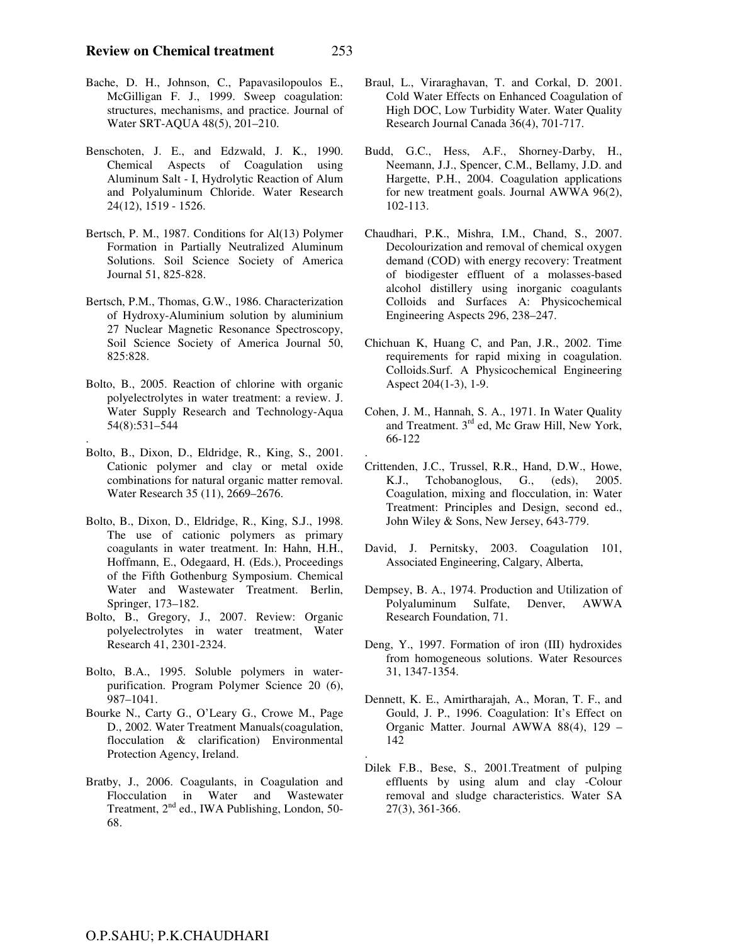.

.

- Bache, D. H., Johnson, C., Papavasilopoulos E., McGilligan F. J., 1999. Sweep coagulation: structures, mechanisms, and practice. Journal of Water SRT-AQUA 48(5), 201–210.
- Benschoten, J. E., and Edzwald, J. K., 1990. Chemical Aspects of Coagulation using Aluminum Salt - I, Hydrolytic Reaction of Alum and Polyaluminum Chloride. Water Research 24(12), 1519 - 1526.
- Bertsch, P. M., 1987. Conditions for Al(13) Polymer Formation in Partially Neutralized Aluminum Solutions. Soil Science Society of America Journal 51, 825-828.
- Bertsch, P.M., Thomas, G.W., 1986. Characterization of Hydroxy-Aluminium solution by aluminium 27 Nuclear Magnetic Resonance Spectroscopy, Soil Science Society of America Journal 50, 825:828.
- Bolto, B., 2005. Reaction of chlorine with organic polyelectrolytes in water treatment: a review. J. Water Supply Research and Technology-Aqua 54(8):531–544
- Bolto, B., Dixon, D., Eldridge, R., King, S., 2001. Cationic polymer and clay or metal oxide combinations for natural organic matter removal. Water Research 35 (11), 2669–2676.

- Bolto, B., Dixon, D., Eldridge, R., King, S.J., 1998. The use of cationic polymers as primary coagulants in water treatment. In: Hahn, H.H., Hoffmann, E., Odegaard, H. (Eds.), Proceedings of the Fifth Gothenburg Symposium. Chemical Water and Wastewater Treatment. Berlin, Springer, 173–182.
- Bolto, B., Gregory, J., 2007. Review: Organic polyelectrolytes in water treatment, Water Research 41, 2301-2324.
- Bolto, B.A., 1995. Soluble polymers in waterpurification. Program Polymer Science 20 (6), 987–1041.
- Bourke N., Carty G., O'Leary G., Crowe M., Page D., 2002. Water Treatment Manuals(coagulation, flocculation & clarification) Environmental Protection Agency, Ireland.
- Bratby, J., 2006. Coagulants, in Coagulation and Flocculation in Water and Wastewater Treatment,  $2<sup>nd</sup>$  ed., IWA Publishing, London, 50-68.
- Braul, L., Viraraghavan, T. and Corkal, D. 2001. Cold Water Effects on Enhanced Coagulation of High DOC, Low Turbidity Water. Water Quality Research Journal Canada 36(4), 701-717.
- Budd, G.C., Hess, A.F., Shorney-Darby, H., Neemann, J.J., Spencer, C.M., Bellamy, J.D. and Hargette, P.H., 2004. Coagulation applications for new treatment goals. Journal AWWA 96(2), 102-113.
- Chaudhari, P.K., Mishra, I.M., Chand, S., 2007. Decolourization and removal of chemical oxygen demand (COD) with energy recovery: Treatment of biodigester effluent of a molasses-based alcohol distillery using inorganic coagulants Colloids and Surfaces A: Physicochemical Engineering Aspects 296, 238–247.
- Chichuan K, Huang C, and Pan, J.R., 2002. Time requirements for rapid mixing in coagulation. Colloids.Surf. A Physicochemical Engineering Aspect 204(1-3), 1-9.
- Cohen, J. M., Hannah, S. A., 1971. In Water Quality and Treatment. 3<sup>rd</sup> ed, Mc Graw Hill, New York, 66-122
- Crittenden, J.C., Trussel, R.R., Hand, D.W., Howe, K.J., Tchobanoglous, G., (eds), 2005. Coagulation, mixing and flocculation, in: Water Treatment: Principles and Design, second ed., John Wiley & Sons, New Jersey, 643-779.
- David, J. Pernitsky, 2003. Coagulation 101, Associated Engineering, Calgary, Alberta,
- Dempsey, B. A., 1974. Production and Utilization of Polyaluminum Sulfate, Denver, AWWA Research Foundation, 71.
- Deng, Y., 1997. Formation of iron (III) hydroxides from homogeneous solutions. Water Resources 31, 1347-1354.
- Dennett, K. E., Amirtharajah, A., Moran, T. F., and Gould, J. P., 1996. Coagulation: It's Effect on Organic Matter. Journal AWWA 88(4), 129 – 142
- Dilek F.B., Bese, S., 2001.Treatment of pulping effluents by using alum and clay -Colour removal and sludge characteristics. Water SA 27(3), 361-366.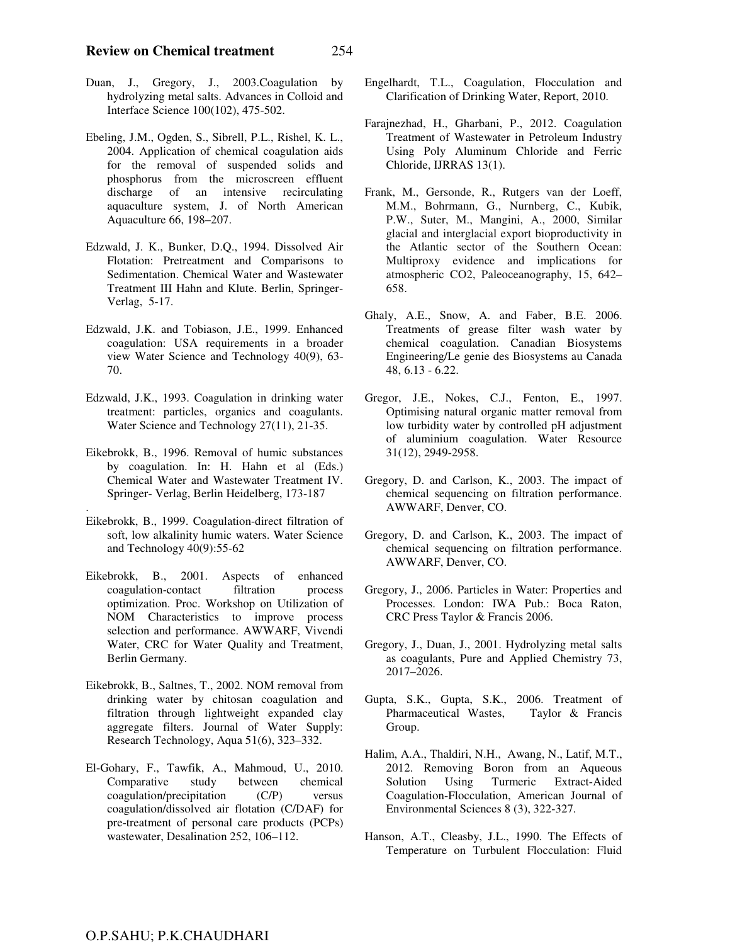- Duan, J., Gregory, J., 2003.Coagulation by hydrolyzing metal salts. Advances in Colloid and Interface Science 100(102), 475-502.
- Ebeling, J.M., Ogden, S., Sibrell, P.L., Rishel, K. L., 2004. Application of chemical coagulation aids for the removal of suspended solids and phosphorus from the microscreen effluent discharge of an intensive recirculating aquaculture system, J. of North American Aquaculture 66, 198–207.
- Edzwald, J. K., Bunker, D.Q., 1994. Dissolved Air Flotation: Pretreatment and Comparisons to Sedimentation. Chemical Water and Wastewater Treatment III Hahn and Klute. Berlin, Springer-Verlag, 5-17.
- Edzwald, J.K. and Tobiason, J.E., 1999. Enhanced coagulation: USA requirements in a broader view Water Science and Technology 40(9), 63- 70.
- Edzwald, J.K., 1993. Coagulation in drinking water treatment: particles, organics and coagulants. Water Science and Technology 27(11), 21-35.
- Eikebrokk, B., 1996. Removal of humic substances by coagulation. In: H. Hahn et al (Eds.) Chemical Water and Wastewater Treatment IV. Springer- Verlag, Berlin Heidelberg, 173-187
- Eikebrokk, B., 1999. Coagulation-direct filtration of soft, low alkalinity humic waters. Water Science and Technology 40(9):55-62

- Eikebrokk, B., 2001. Aspects of enhanced coagulation-contact filtration process optimization. Proc. Workshop on Utilization of NOM Characteristics to improve process selection and performance. AWWARF, Vivendi Water, CRC for Water Quality and Treatment, Berlin Germany.
- Eikebrokk, B., Saltnes, T., 2002. NOM removal from drinking water by chitosan coagulation and filtration through lightweight expanded clay aggregate filters. Journal of Water Supply: Research Technology, Aqua 51(6), 323–332.
- El-Gohary, F., Tawfik, A., Mahmoud, U., 2010. Comparative study between chemical coagulation/precipitation (C/P) versus coagulation/dissolved air flotation (C/DAF) for pre-treatment of personal care products (PCPs) wastewater, Desalination 252, 106–112.
- Engelhardt, T.L., Coagulation, Flocculation and Clarification of Drinking Water, Report, 2010.
- Farajnezhad, H., Gharbani, P., 2012. Coagulation Treatment of Wastewater in Petroleum Industry Using Poly Aluminum Chloride and Ferric Chloride, IJRRAS 13(1).
- Frank, M., Gersonde, R., Rutgers van der Loeff, M.M., Bohrmann, G., Nurnberg, C., Kubik, P.W., Suter, M., Mangini, A., 2000, Similar glacial and interglacial export bioproductivity in the Atlantic sector of the Southern Ocean: Multiproxy evidence and implications for atmospheric CO2, Paleoceanography, 15, 642– 658.
- Ghaly, A.E., Snow, A. and Faber, B.E. 2006. Treatments of grease filter wash water by chemical coagulation. Canadian Biosystems Engineering/Le genie des Biosystems au Canada 48, 6.13 - 6.22.
- Gregor, J.E., Nokes, C.J., Fenton, E., 1997. Optimising natural organic matter removal from low turbidity water by controlled pH adjustment of aluminium coagulation. Water Resource 31(12), 2949-2958.
- Gregory, D. and Carlson, K., 2003. The impact of chemical sequencing on filtration performance. AWWARF, Denver, CO.
- Gregory, D. and Carlson, K., 2003. The impact of chemical sequencing on filtration performance. AWWARF, Denver, CO.
- Gregory, J., 2006. Particles in Water: Properties and Processes. London: IWA Pub.: Boca Raton, CRC Press Taylor & Francis 2006.
- Gregory, J., Duan, J., 2001. Hydrolyzing metal salts as coagulants, Pure and Applied Chemistry 73, 2017–2026.
- Gupta, S.K., Gupta, S.K., 2006. Treatment of Pharmaceutical Wastes, Taylor & Francis Group.
- Halim, A.A., Thaldiri, N.H., Awang, N., Latif, M.T., 2012. Removing Boron from an Aqueous Solution Using Turmeric Extract-Aided Coagulation-Flocculation, American Journal of Environmental Sciences 8 (3), 322-327.
- Hanson, A.T., Cleasby, J.L., 1990. The Effects of Temperature on Turbulent Flocculation: Fluid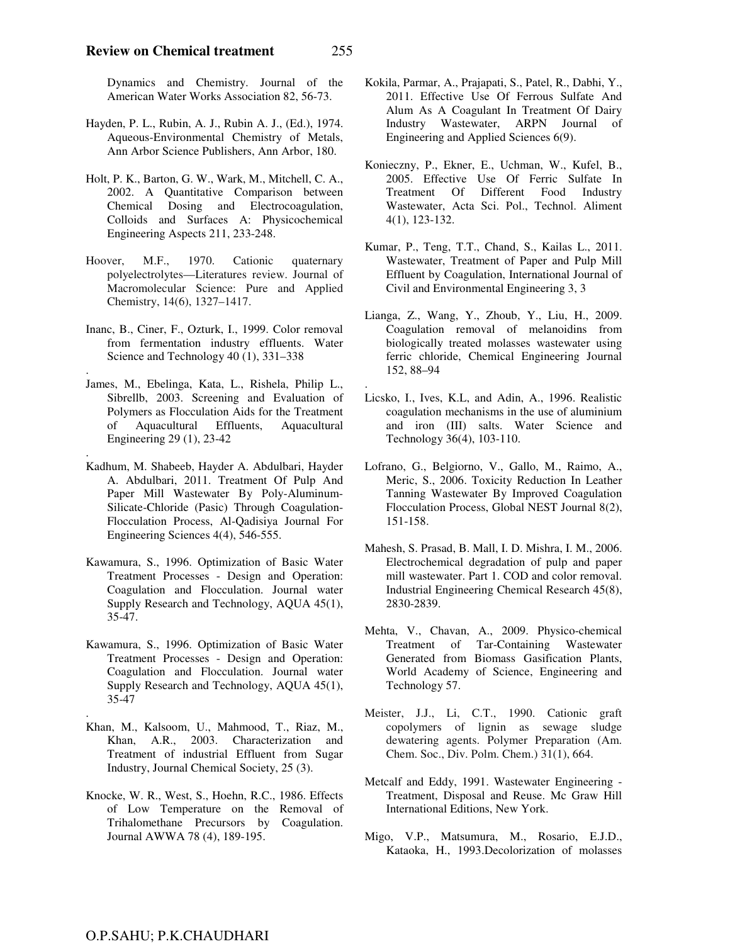Dynamics and Chemistry. Journal of the American Water Works Association 82, 56-73.

- Hayden, P. L., Rubin, A. J., Rubin A. J., (Ed.), 1974. Aqueous-Environmental Chemistry of Metals, Ann Arbor Science Publishers, Ann Arbor, 180.
- Holt, P. K., Barton, G. W., Wark, M., Mitchell, C. A., 2002. A Quantitative Comparison between Chemical Dosing and Electrocoagulation, Colloids and Surfaces A: Physicochemical Engineering Aspects 211, 233-248.
- Hoover, M.F., 1970. Cationic quaternary polyelectrolytes—Literatures review. Journal of Macromolecular Science: Pure and Applied Chemistry, 14(6), 1327–1417.
- Inanc, B., Ciner, F., Ozturk, I., 1999. Color removal from fermentation industry effluents. Water Science and Technology 40 (1), 331–338

.

.

- James, M., Ebelinga, Kata, L., Rishela, Philip L., Sibrellb, 2003. Screening and Evaluation of Polymers as Flocculation Aids for the Treatment of Aquacultural Effluents, Aquacultural Engineering 29 (1), 23-42
- Kadhum, M. Shabeeb, Hayder A. Abdulbari, Hayder A. Abdulbari, 2011. Treatment Of Pulp And Paper Mill Wastewater By Poly-Aluminum-Silicate-Chloride (Pasic) Through Coagulation-Flocculation Process, Al-Qadisiya Journal For Engineering Sciences 4(4), 546-555.
- Kawamura, S., 1996. Optimization of Basic Water Treatment Processes - Design and Operation: Coagulation and Flocculation. Journal water Supply Research and Technology, AQUA 45(1), 35-47.
- Kawamura, S., 1996. Optimization of Basic Water Treatment Processes - Design and Operation: Coagulation and Flocculation. Journal water Supply Research and Technology, AQUA 45(1), 35-47
- . Khan, M., Kalsoom, U., Mahmood, T., Riaz, M., Khan, A.R., 2003. Characterization and Treatment of industrial Effluent from Sugar Industry, Journal Chemical Society, 25 (3).
- Knocke, W. R., West, S., Hoehn, R.C., 1986. Effects of Low Temperature on the Removal of Trihalomethane Precursors by Coagulation. Journal AWWA 78 (4), 189-195.
- Kokila, Parmar, A., Prajapati, S., Patel, R., Dabhi, Y., 2011. Effective Use Of Ferrous Sulfate And Alum As A Coagulant In Treatment Of Dairy Industry Wastewater, ARPN Journal of Engineering and Applied Sciences 6(9).
- Konieczny, P., Ekner, E., Uchman, W., Kufel, B., 2005. Effective Use Of Ferric Sulfate In Treatment Of Different Food Industry Wastewater, Acta Sci. Pol., Technol. Aliment 4(1), 123-132.
- Kumar, P., Teng, T.T., Chand, S., Kailas L., 2011. Wastewater, Treatment of Paper and Pulp Mill Effluent by Coagulation, International Journal of Civil and Environmental Engineering 3, 3
- Lianga, Z., Wang, Y., Zhoub, Y., Liu, H., 2009. Coagulation removal of melanoidins from biologically treated molasses wastewater using ferric chloride, Chemical Engineering Journal 152, 88–94
- Licsko, I., Ives, K.L, and Adin, A., 1996. Realistic coagulation mechanisms in the use of aluminium and iron (III) salts. Water Science and Technology 36(4), 103-110.

- Lofrano, G., Belgiorno, V., Gallo, M., Raimo, A., Meric, S., 2006. Toxicity Reduction In Leather Tanning Wastewater By Improved Coagulation Flocculation Process, Global NEST Journal 8(2), 151-158.
- Mahesh, S. Prasad, B. Mall, I. D. Mishra, I. M., 2006. Electrochemical degradation of pulp and paper mill wastewater. Part 1. COD and color removal. Industrial Engineering Chemical Research 45(8), 2830-2839.
- Mehta, V., Chavan, A., 2009. Physico-chemical Treatment of Tar-Containing Wastewater Generated from Biomass Gasification Plants, World Academy of Science, Engineering and Technology 57.
- Meister, J.J., Li, C.T., 1990. Cationic graft copolymers of lignin as sewage sludge dewatering agents. Polymer Preparation (Am. Chem. Soc., Div. Polm. Chem.) 31(1), 664.
- Metcalf and Eddy, 1991. Wastewater Engineering Treatment, Disposal and Reuse. Mc Graw Hill International Editions, New York.
- Migo, V.P., Matsumura, M., Rosario, E.J.D., Kataoka, H., 1993.Decolorization of molasses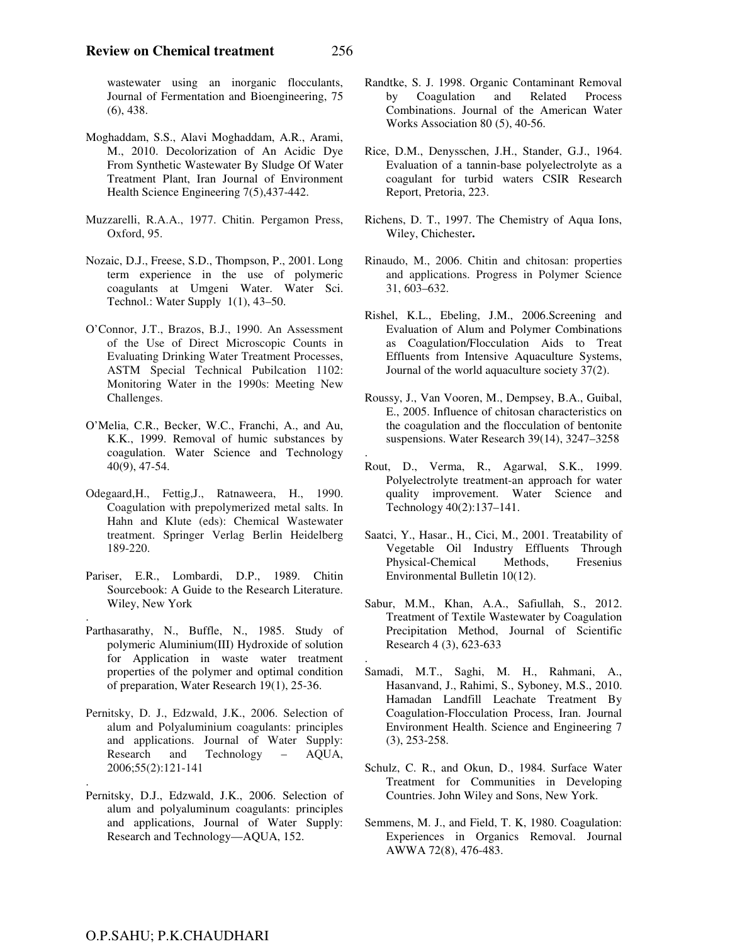wastewater using an inorganic flocculants, Journal of Fermentation and Bioengineering, 75 (6), 438.

- Moghaddam, S.S., Alavi Moghaddam, A.R., Arami, M., 2010. Decolorization of An Acidic Dye From Synthetic Wastewater By Sludge Of Water Treatment Plant, Iran Journal of Environment Health Science Engineering 7(5),437-442.
- Muzzarelli, R.A.A., 1977. Chitin. Pergamon Press, Oxford, 95.
- Nozaic, D.J., Freese, S.D., Thompson, P., 2001. Long term experience in the use of polymeric coagulants at Umgeni Water. Water Sci. Technol.: Water Supply 1(1), 43–50.
- O'Connor, J.T., Brazos, B.J., 1990. An Assessment of the Use of Direct Microscopic Counts in Evaluating Drinking Water Treatment Processes, ASTM Special Technical Pubilcation 1102: Monitoring Water in the 1990s: Meeting New Challenges.
- O'Melia, C.R., Becker, W.C., Franchi, A., and Au, K.K., 1999. Removal of humic substances by coagulation. Water Science and Technology 40(9), 47-54.
- Odegaard,H., Fettig,J., Ratnaweera, H., 1990. Coagulation with prepolymerized metal salts. In Hahn and Klute (eds): Chemical Wastewater treatment. Springer Verlag Berlin Heidelberg 189-220.
- Pariser, E.R., Lombardi, D.P., 1989. Chitin Sourcebook: A Guide to the Research Literature. Wiley, New York
- . Parthasarathy, N., Buffle, N., 1985. Study of polymeric Aluminium(III) Hydroxide of solution for Application in waste water treatment properties of the polymer and optimal condition of preparation, Water Research 19(1), 25-36.
- Pernitsky, D. J., Edzwald, J.K., 2006. Selection of alum and Polyaluminium coagulants: principles and applications. Journal of Water Supply: Research and Technology – AQUA, 2006;55(2):121-141
- . Pernitsky, D.J., Edzwald, J.K., 2006. Selection of alum and polyaluminum coagulants: principles and applications, Journal of Water Supply: Research and Technology—AQUA, 152.
- Randtke, S. J. 1998. Organic Contaminant Removal by Coagulation and Related Process Combinations. Journal of the American Water Works Association 80 (5), 40-56.
- Rice, D.M., Denysschen, J.H., Stander, G.J., 1964. Evaluation of a tannin-base polyelectrolyte as a coagulant for turbid waters CSIR Research Report, Pretoria, 223.
- Richens, D. T., 1997. The Chemistry of Aqua Ions, Wiley, Chichester**.**
- Rinaudo, M., 2006. Chitin and chitosan: properties and applications. Progress in Polymer Science 31, 603–632.
- Rishel, K.L., Ebeling, J.M., 2006.Screening and Evaluation of Alum and Polymer Combinations as Coagulation/Flocculation Aids to Treat Effluents from Intensive Aquaculture Systems, Journal of the world aquaculture society 37(2).
- Roussy, J., Van Vooren, M., Dempsey, B.A., Guibal, E., 2005. Influence of chitosan characteristics on the coagulation and the flocculation of bentonite suspensions. Water Research 39(14), 3247–3258
- . Rout, D., Verma, R., Agarwal, S.K., 1999. Polyelectrolyte treatment-an approach for water quality improvement. Water Science and Technology 40(2):137–141.
- Saatci, Y., Hasar., H., Cici, M., 2001. Treatability of Vegetable Oil Industry Effluents Through Physical-Chemical Methods, Fresenius Environmental Bulletin 10(12).
- Sabur, M.M., Khan, A.A., Safiullah, S., 2012. Treatment of Textile Wastewater by Coagulation Precipitation Method, Journal of Scientific Research 4 (3), 623-633

- Samadi, M.T., Saghi, M. H., Rahmani, A., Hasanvand, J., Rahimi, S., Syboney, M.S., 2010. Hamadan Landfill Leachate Treatment By Coagulation-Flocculation Process, Iran. Journal Environment Health. Science and Engineering 7 (3), 253-258.
- Schulz, C. R., and Okun, D., 1984. Surface Water Treatment for Communities in Developing Countries. John Wiley and Sons, New York.
- Semmens, M. J., and Field, T. K, 1980. Coagulation: Experiences in Organics Removal. Journal AWWA 72(8), 476-483.